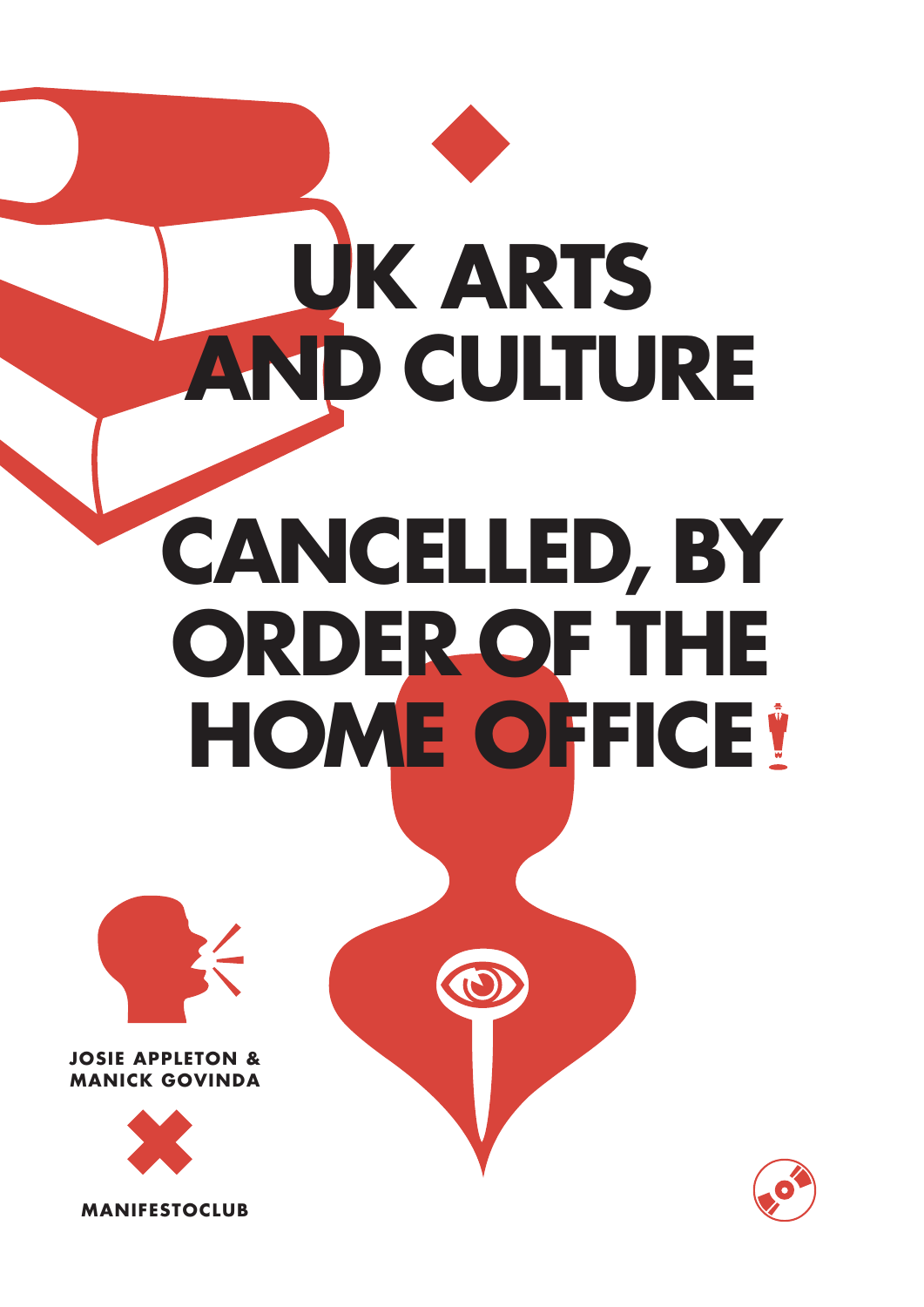# **UK Arts and Culture Cancelled, by Order of the HOME OFFICE**



# **Josie Appleton & Manick Govinda**



**manifestoclub**

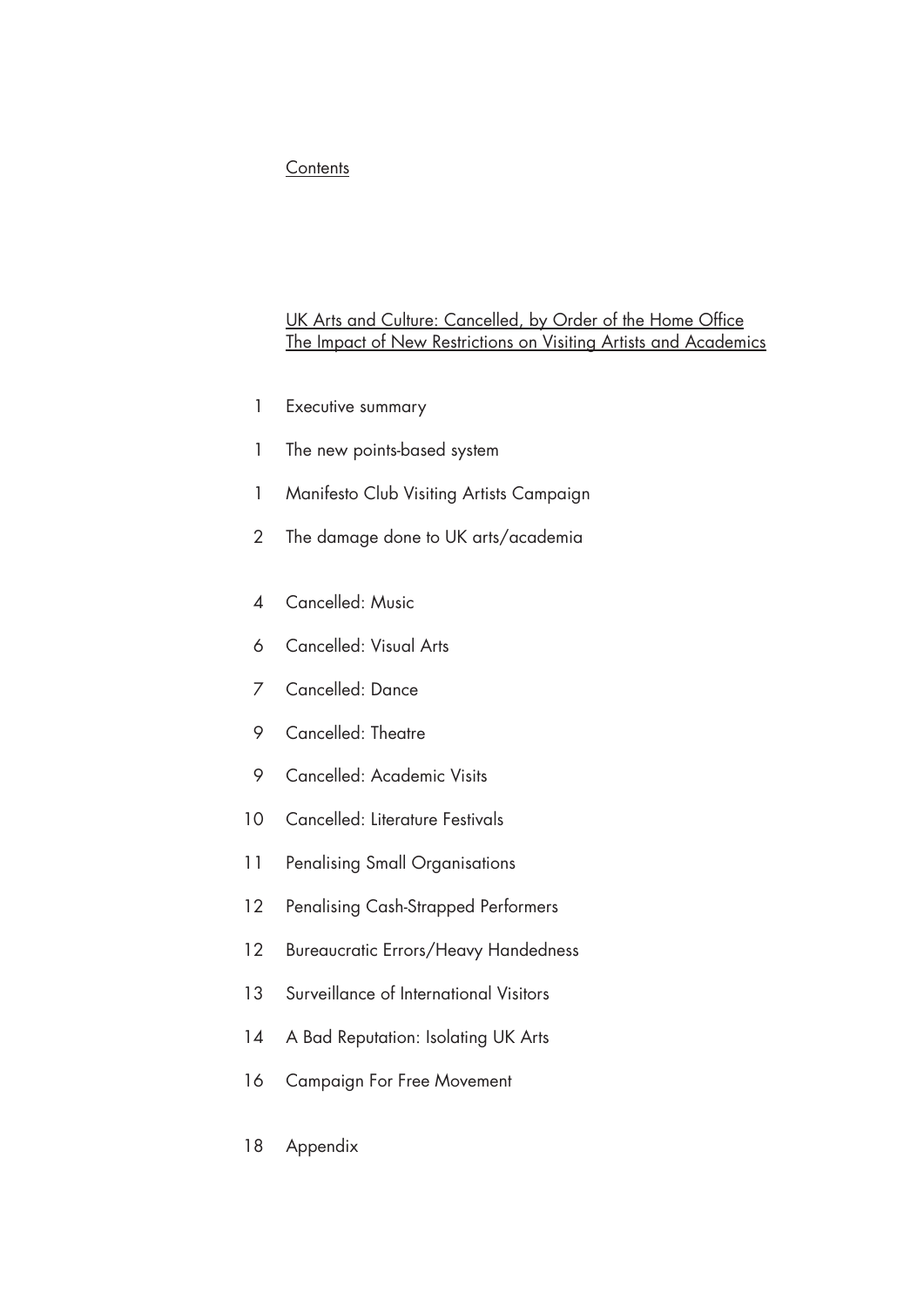## **Contents**

# UK Arts and Culture: Cancelled, by Order of the Home Office The Impact of New Restrictions on Visiting Artists and Academics

- 1 Executive summary
- 1 The new points-based system
- 1 Manifesto Club Visiting Artists Campaign
- 2 The damage done to UK arts/academia
- 4 Cancelled: Music
- 6 Cancelled: Visual Arts
- 7 Cancelled: Dance
- 9 Cancelled: Theatre
- 9 Cancelled: Academic Visits
- 10 Cancelled: Literature Festivals
- 11 Penalising Small Organisations
- 12 Penalising Cash-Strapped Performers
- 12 Bureaucratic Errors/Heavy Handedness
- 13 Surveillance of International Visitors
- 14 A Bad Reputation: Isolating UK Arts
- 16 Campaign For Free Movement
- 18 Appendix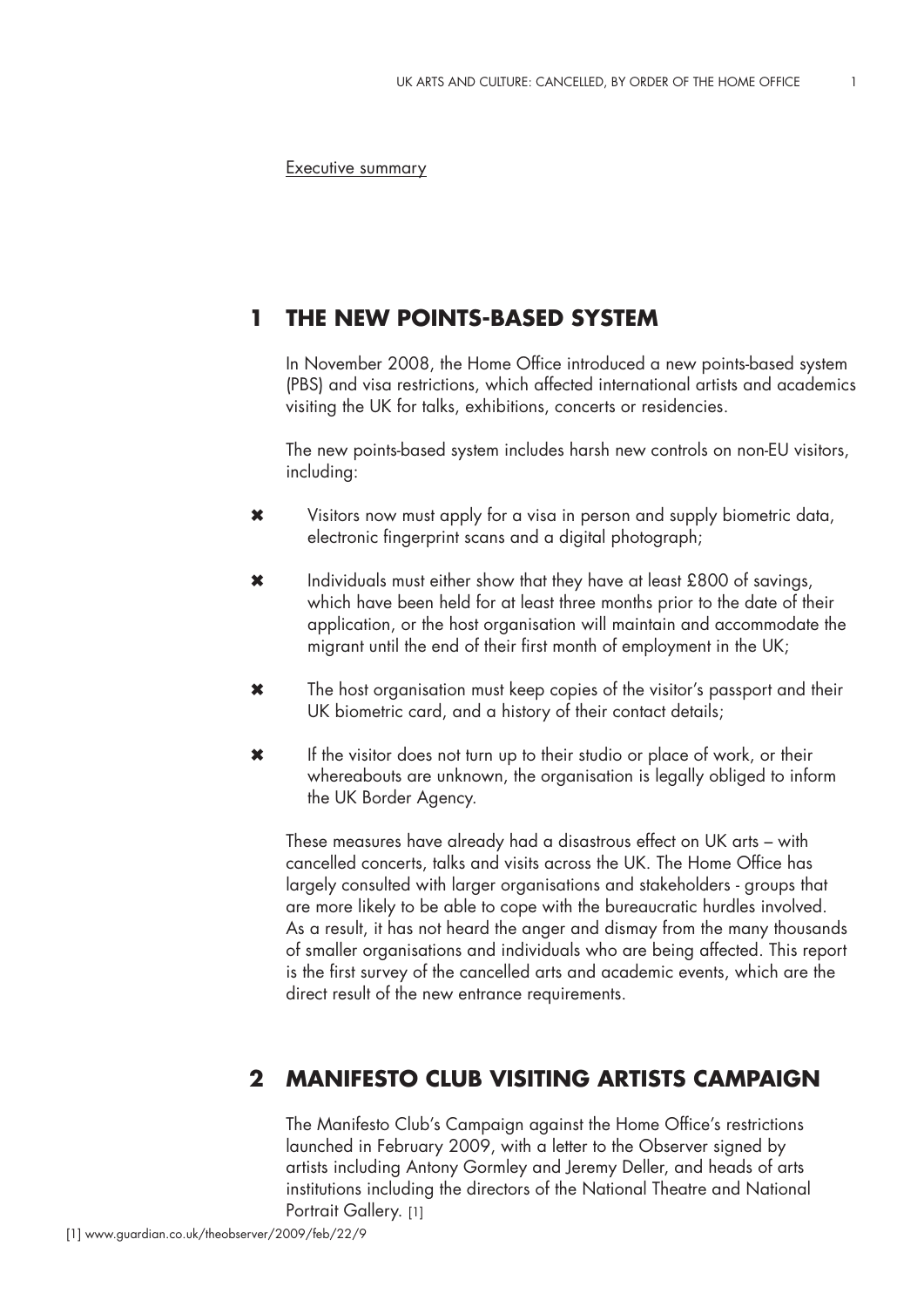Executive summary

#### **The new points-based system 1**

In November 2008, the Home Office introduced a new points-based system (PBS) and visa restrictions, which affected international artists and academics visiting the UK for talks, exhibitions, concerts or residencies.

The new points-based system includes harsh new controls on non-EU visitors, including:

- Visitors now must apply for a visa in person and supply biometric data, electronic fingerprint scans and a digital photograph; ✖
- Individuals must either show that they have at least £800 of savings, which have been held for at least three months prior to the date of their application, or the host organisation will maintain and accommodate the migrant until the end of their first month of employment in the UK; ✖
- The host organisation must keep copies of the visitor's passport and their UK biometric card, and a history of their contact details; ✖
- If the visitor does not turn up to their studio or place of work, or their whereabouts are unknown, the organisation is legally obliged to inform the UK Border Agency. ✖

These measures have already had a disastrous effect on UK arts – with cancelled concerts, talks and visits across the UK. The Home Office has largely consulted with larger organisations and stakeholders - groups that are more likely to be able to cope with the bureaucratic hurdles involved. As a result, it has not heard the anger and dismay from the many thousands of smaller organisations and individuals who are being affected. This report is the first survey of the cancelled arts and academic events, which are the direct result of the new entrance requirements.

# **Manifesto Club Visiting Artists Campaign 2**

The Manifesto Club's Campaign against the Home Office's restrictions launched in February 2009, with a letter to the Observer signed by artists including Antony Gormley and Jeremy Deller, and heads of arts institutions including the directors of the National Theatre and National Portrait Gallery. [1]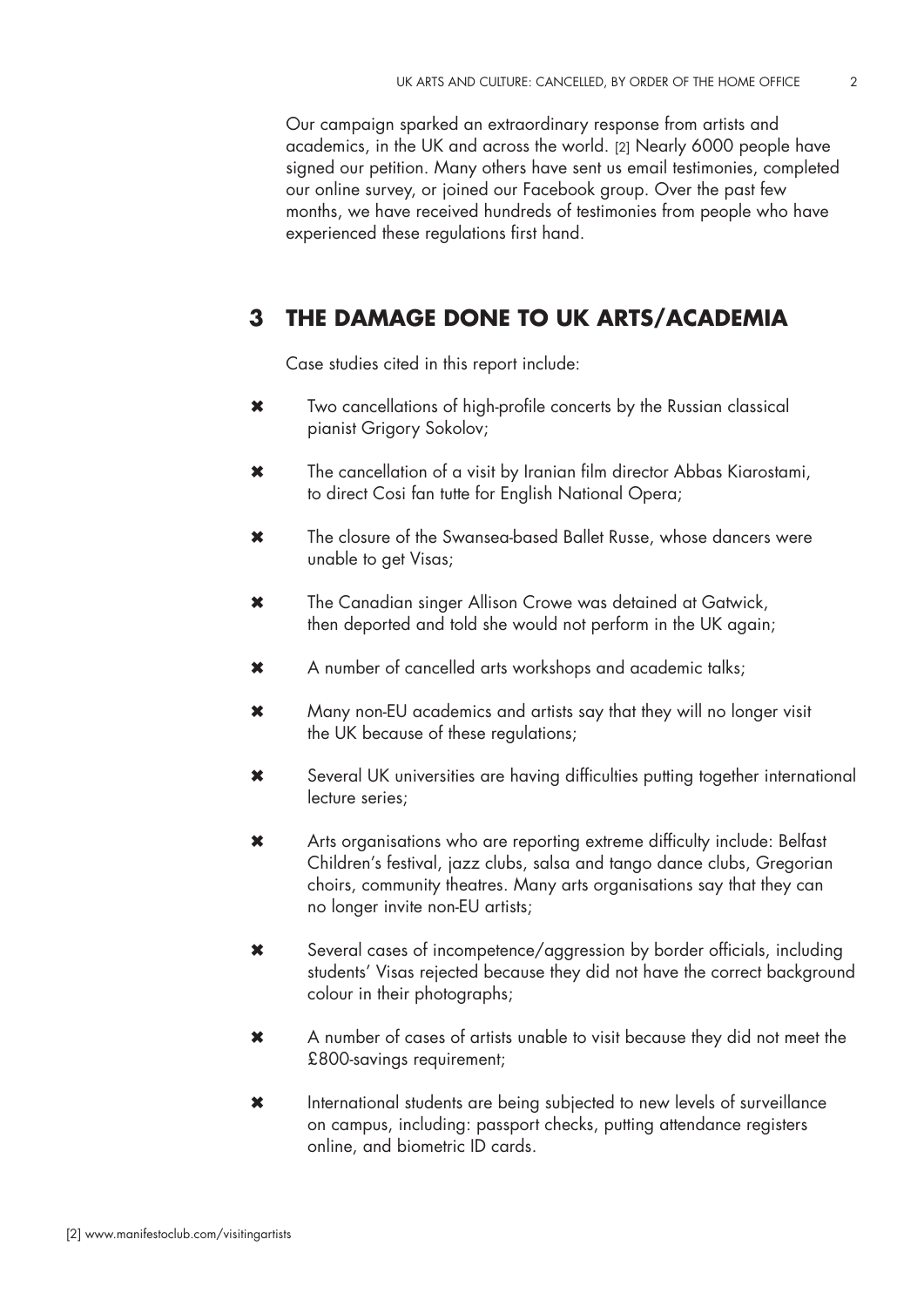Our campaign sparked an extraordinary response from artists and academics, in the UK and across the world. [2] Nearly 6000 people have signed our petition. Many others have sent us email testimonies, completed our online survey, or joined our Facebook group. Over the past few months, we have received hundreds of testimonies from people who have experienced these regulations first hand.

#### **The damage done to UK arts/academia 3**

Case studies cited in this report include:

- Two cancellations of high-profile concerts by the Russian classical pianist Grigory Sokolov; ✖
- The cancellation of a visit by Iranian film director Abbas Kiarostami, to direct Cosi fan tutte for English National Opera; ✖
- The closure of the Swansea-based Ballet Russe, whose dancers were unable to get Visas; ✖
- The Canadian singer Allison Crowe was detained at Gatwick, then deported and told she would not perform in the UK again; ✖
- A number of cancelled arts workshops and academic talks; ✖
- Many non-EU academics and artists say that they will no longer visit the UK because of these regulations; ✖
- Several UK universities are having difficulties putting together international lecture series; ✖
- Arts organisations who are reporting extreme difficulty include: Belfast Children's festival, jazz clubs, salsa and tango dance clubs, Gregorian choirs, community theatres. Many arts organisations say that they can no longer invite non-EU artists; ✖
- Several cases of incompetence/aggression by border officials, including students' Visas rejected because they did not have the correct background colour in their photographs;  $\bm{x}$
- A number of cases of artists unable to visit because they did not meet the £800-savings requirement; ✖
- International students are being subjected to new levels of surveillance on campus, including: passport checks, putting attendance registers online, and biometric ID cards. ✖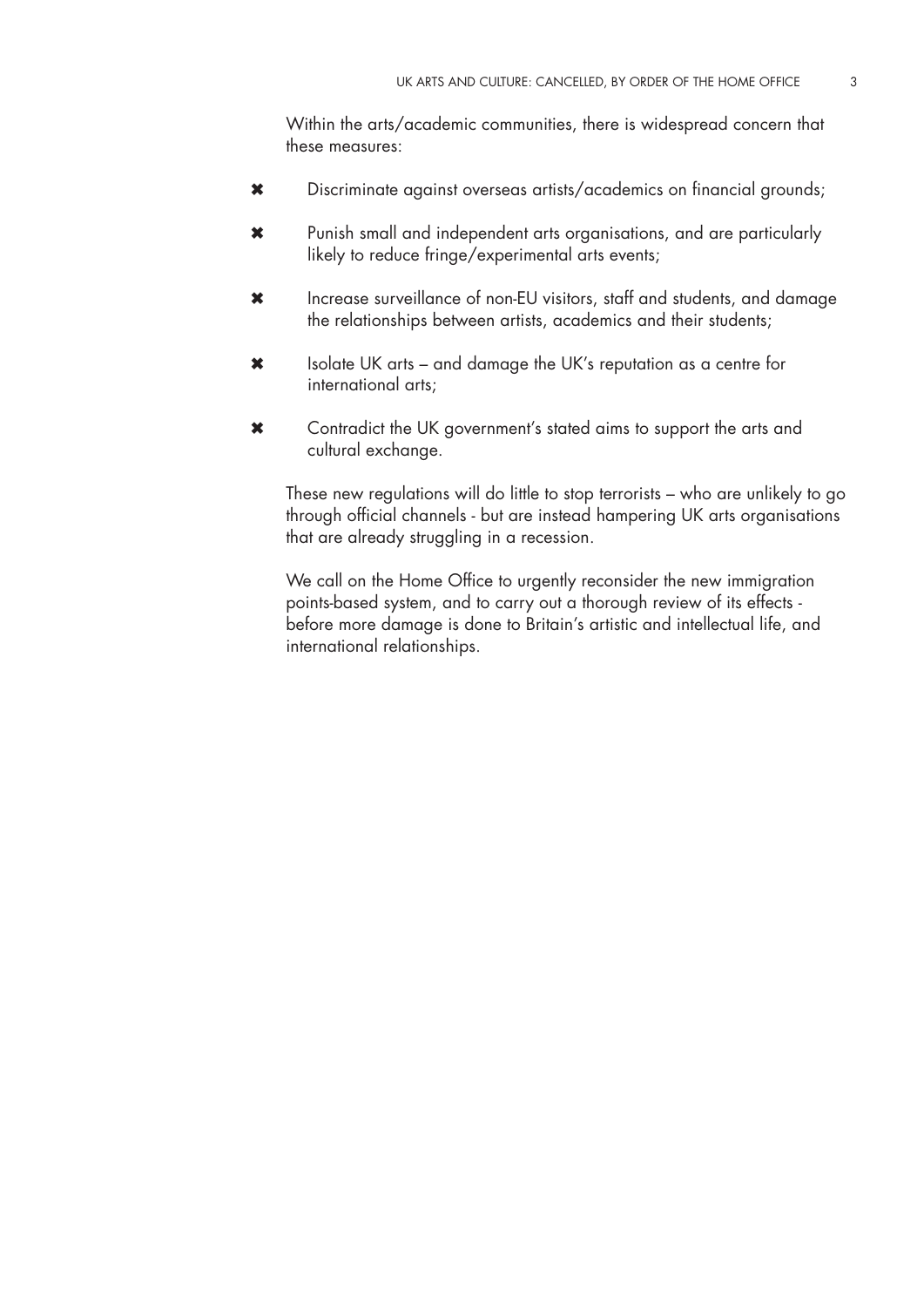Within the arts/academic communities, there is widespread concern that these measures:

- Discriminate against overseas artists/academics on financial grounds; ✖
- Punish small and independent arts organisations, and are particularly likely to reduce fringe/experimental arts events; ✖
- Increase surveillance of non-EU visitors, staff and students, and damage the relationships between artists, academics and their students; ✖
- Isolate UK arts and damage the UK's reputation as a centre for international arts; ✖
- Contradict the UK government's stated aims to support the arts and cultural exchange. ✖

These new regulations will do little to stop terrorists – who are unlikely to go through official channels - but are instead hampering UK arts organisations that are already struggling in a recession.

We call on the Home Office to urgently reconsider the new immigration points-based system, and to carry out a thorough review of its effects before more damage is done to Britain's artistic and intellectual life, and international relationships.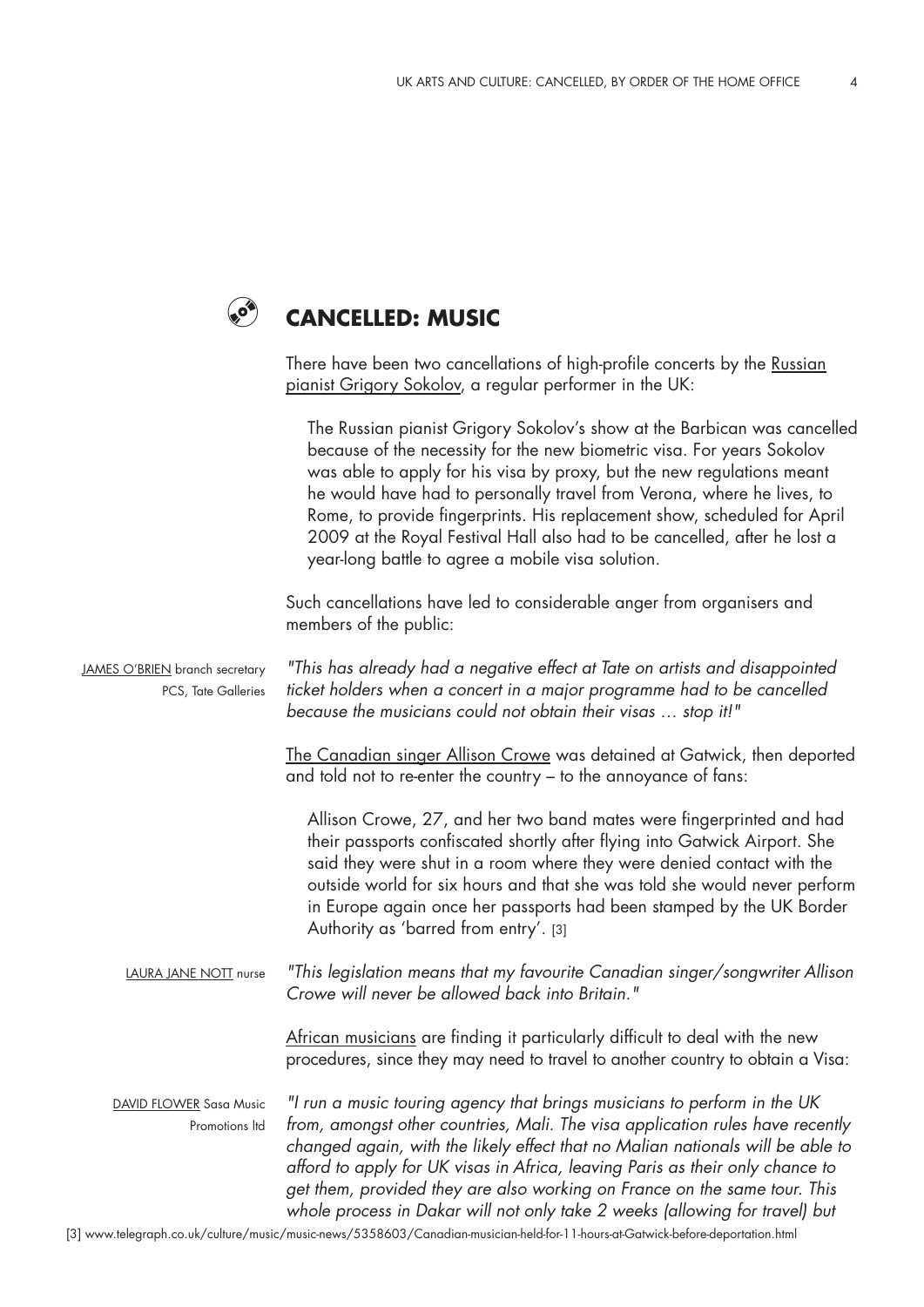## **Cancelled: Music**  $\odot$

There have been two cancellations of high-profile concerts by the Russian pianist Grigory Sokolov, a regular performer in the UK:

|                                                       | The Russian pianist Grigory Sokolov's show at the Barbican was cancelled<br>because of the necessity for the new biometric visa. For years Sokolov<br>was able to apply for his visa by proxy, but the new regulations meant<br>he would have had to personally travel from Verona, where he lives, to<br>Rome, to provide fingerprints. His replacement show, scheduled for April<br>2009 at the Royal Festival Hall also had to be cancelled, after he lost a<br>year-long battle to agree a mobile visa solution. |
|-------------------------------------------------------|----------------------------------------------------------------------------------------------------------------------------------------------------------------------------------------------------------------------------------------------------------------------------------------------------------------------------------------------------------------------------------------------------------------------------------------------------------------------------------------------------------------------|
|                                                       | Such cancellations have led to considerable anger from organisers and<br>members of the public:                                                                                                                                                                                                                                                                                                                                                                                                                      |
| JAMES O'BRIEN branch secretary<br>PCS, Tate Galleries | "This has already had a negative effect at Tate on artists and disappointed<br>ticket holders when a concert in a major programme had to be cancelled<br>because the musicians could not obtain their visas  stop it!"                                                                                                                                                                                                                                                                                               |
|                                                       | The Canadian singer Allison Crowe was detained at Gatwick, then deported<br>and told not to re-enter the country – to the annoyance of fans:                                                                                                                                                                                                                                                                                                                                                                         |
|                                                       | Allison Crowe, 27, and her two band mates were fingerprinted and had<br>their passports confiscated shortly after flying into Gatwick Airport. She<br>said they were shut in a room where they were denied contact with the<br>outside world for six hours and that she was told she would never perform<br>in Europe again once her passports had been stamped by the UK Border<br>Authority as 'barred from entry'. [3]                                                                                            |
| LAURA JANE NOTT nurse                                 | "This legislation means that my favourite Canadian singer/songwriter Allison<br>Crowe will never be allowed back into Britain."                                                                                                                                                                                                                                                                                                                                                                                      |
|                                                       | African musicians are finding it particularly difficult to deal with the new<br>procedures, since they may need to travel to another country to obtain a Visa:                                                                                                                                                                                                                                                                                                                                                       |
| <b>DAVID FLOWER Sasa Music</b><br>Promotions Itd      | "I run a music touring agency that brings musicians to perform in the UK<br>from, amongst other countries, Mali. The visa application rules have recently<br>changed again, with the likely effect that no Malian nationals will be able to<br>afford to apply for UK visas in Africa, leaving Paris as their only chance to<br>get them, provided they are also working on France on the same tour. This<br>whole process in Dakar will not only take 2 weeks (allowing for travel) but                             |

[3] www.telegraph.co.uk/culture/music/music-news/5358603/Canadian-musician-held-for-11-hours-at-Gatwick-before-deportation.html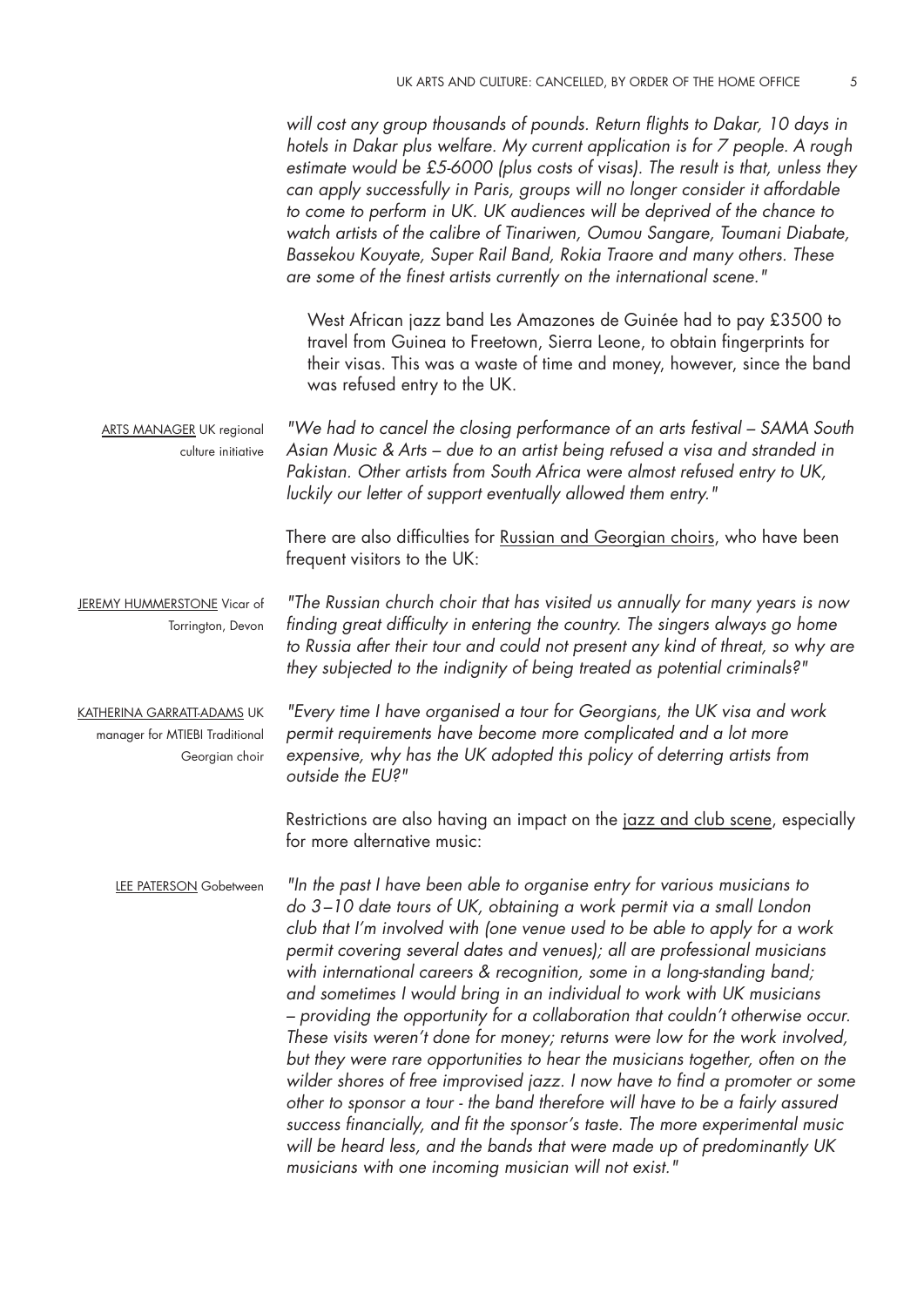|                                                                                | will cost any group thousands of pounds. Return flights to Dakar, 10 days in<br>hotels in Dakar plus welfare. My current application is for 7 people. A rough<br>estimate would be £5-6000 (plus costs of visas). The result is that, unless they<br>can apply successfully in Paris, groups will no longer consider it affordable<br>to come to perform in UK. UK audiences will be deprived of the chance to<br>watch artists of the calibre of Tinariwen, Oumou Sangare, Toumani Diabate,<br>Bassekou Kouyate, Super Rail Band, Rokia Traore and many others. These<br>are some of the finest artists currently on the international scene."                                                                                                                                                                                                                                                                                                                                                                                                                                                           |
|--------------------------------------------------------------------------------|-----------------------------------------------------------------------------------------------------------------------------------------------------------------------------------------------------------------------------------------------------------------------------------------------------------------------------------------------------------------------------------------------------------------------------------------------------------------------------------------------------------------------------------------------------------------------------------------------------------------------------------------------------------------------------------------------------------------------------------------------------------------------------------------------------------------------------------------------------------------------------------------------------------------------------------------------------------------------------------------------------------------------------------------------------------------------------------------------------------|
|                                                                                | West African jazz band Les Amazones de Guinée had to pay £3500 to<br>travel from Guinea to Freetown, Sierra Leone, to obtain fingerprints for<br>their visas. This was a waste of time and money, however, since the band<br>was refused entry to the UK.                                                                                                                                                                                                                                                                                                                                                                                                                                                                                                                                                                                                                                                                                                                                                                                                                                                 |
| <b>ARTS MANAGER UK regional</b><br>culture initiative                          | "We had to cancel the closing performance of an arts festival – SAMA South<br>Asian Music & Arts – due to an artist being refused a visa and stranded in<br>Pakistan. Other artists from South Africa were almost refused entry to UK,<br>luckily our letter of support eventually allowed them entry."                                                                                                                                                                                                                                                                                                                                                                                                                                                                                                                                                                                                                                                                                                                                                                                                   |
|                                                                                | There are also difficulties for Russian and Georgian choirs, who have been<br>frequent visitors to the UK:                                                                                                                                                                                                                                                                                                                                                                                                                                                                                                                                                                                                                                                                                                                                                                                                                                                                                                                                                                                                |
| JEREMY HUMMERSTONE Vicar of<br>Torrington, Devon                               | "The Russian church choir that has visited us annually for many years is now<br>finding great difficulty in entering the country. The singers always go home<br>to Russia after their tour and could not present any kind of threat, so why are<br>they subjected to the indignity of being treated as potential criminals?"                                                                                                                                                                                                                                                                                                                                                                                                                                                                                                                                                                                                                                                                                                                                                                              |
| KATHERINA GARRATT-ADAMS UK<br>manager for MTIEBI Traditional<br>Georgian choir | "Every time I have organised a tour for Georgians, the UK visa and work<br>permit requirements have become more complicated and a lot more<br>expensive, why has the UK adopted this policy of deterring artists from<br>outside the EU?"                                                                                                                                                                                                                                                                                                                                                                                                                                                                                                                                                                                                                                                                                                                                                                                                                                                                 |
|                                                                                | Restrictions are also having an impact on the jazz and club scene, especially<br>for more alternative music:                                                                                                                                                                                                                                                                                                                                                                                                                                                                                                                                                                                                                                                                                                                                                                                                                                                                                                                                                                                              |
| LEE PATERSON Gobetween                                                         | "In the past I have been able to organise entry for various musicians to<br>do 3-10 date tours of UK, obtaining a work permit via a small London<br>club that I'm involved with (one venue used to be able to apply for a work<br>permit covering several dates and venues); all are professional musicians<br>with international careers & recognition, some in a long-standing band;<br>and sometimes I would bring in an individual to work with UK musicians<br>- providing the opportunity for a collaboration that couldn't otherwise occur.<br>These visits weren't done for money; returns were low for the work involved,<br>but they were rare opportunities to hear the musicians together, often on the<br>wilder shores of free improvised jazz. I now have to find a promoter or some<br>other to sponsor a tour - the band therefore will have to be a fairly assured<br>success financially, and fit the sponsor's taste. The more experimental music<br>will be heard less, and the bands that were made up of predominantly UK<br>musicians with one incoming musician will not exist." |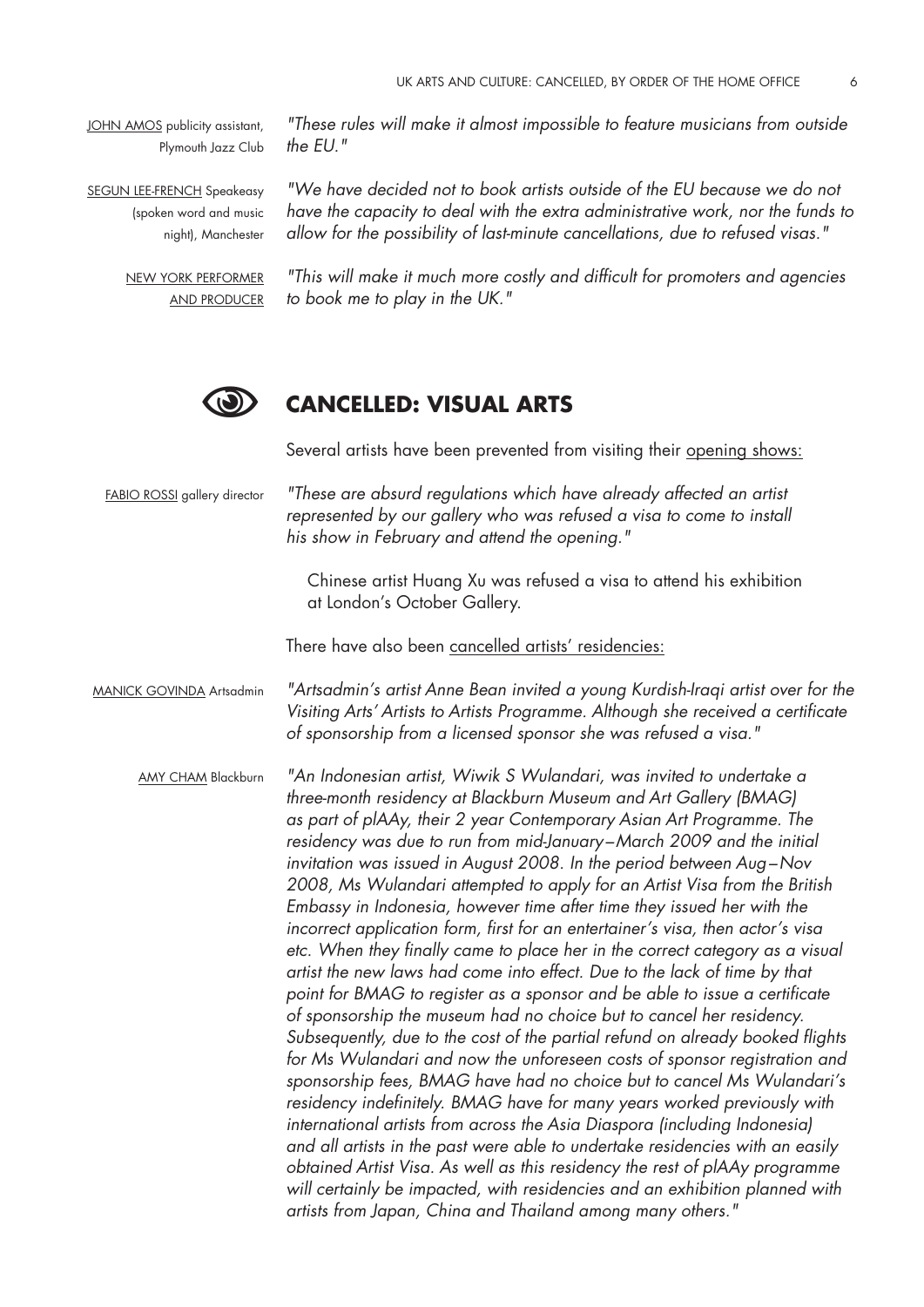JOHN AMOS publicity assistant, Plymouth Jazz Club

SEGUN LEE-FRENCH Speakeasy (spoken word and music night), Manchester

> New York performer and producer

*"These rules will make it almost impossible to feature musicians from outside the EU."* 

*"We have decided not to book artists outside of the EU because we do not have the capacity to deal with the extra administrative work, nor the funds to allow for the possibility of last-minute cancellations, due to refused visas."* 

*"This will make it much more costly and difficult for promoters and agencies to book me to play in the UK."* 



# **Cancelled: Visual Arts**

Several artists have been prevented from visiting their opening shows:

FABIO ROSSI gallery director

*"These are absurd regulations which have already affected an artist represented by our gallery who was refused a visa to come to install his show in February and attend the opening."* 

Chinese artist Huang Xu was refused a visa to attend his exhibition at London's October Gallery.

There have also been cancelled artists' residencies:

*"Artsadmin's artist Anne Bean invited a young Kurdish-Iraqi artist over for the Visiting Arts' Artists to Artists Programme. Although she received a certificate of sponsorship from a licensed sponsor she was refused a visa."*  MANICK GOVINDA Artsadmin

*"An Indonesian artist, Wiwik S Wulandari, was invited to undertake a three-month residency at Blackburn Museum and Art Gallery (BMAG) as part of plAAy, their 2 year Contemporary Asian Art Programme. The residency was due to run from mid-January –March 2009 and the initial invitation was issued in August 2008. In the period between Aug–Nov 2008, Ms Wulandari attempted to apply for an Artist Visa from the British Embassy in Indonesia, however time after time they issued her with the incorrect application form, first for an entertainer's visa, then actor's visa etc. When they finally came to place her in the correct category as a visual artist the new laws had come into effect. Due to the lack of time by that point for BMAG to register as a sponsor and be able to issue a certificate of sponsorship the museum had no choice but to cancel her residency. Subsequently, due to the cost of the partial refund on already booked flights for Ms Wulandari and now the unforeseen costs of sponsor registration and sponsorship fees, BMAG have had no choice but to cancel Ms Wulandari's residency indefinitely. BMAG have for many years worked previously with international artists from across the Asia Diaspora (including Indonesia) and all artists in the past were able to undertake residencies with an easily obtained Artist Visa. As well as this residency the rest of plAAy programme will certainly be impacted, with residencies and an exhibition planned with artists from Japan, China and Thailand among many others."*  AMY CHAM Blackburn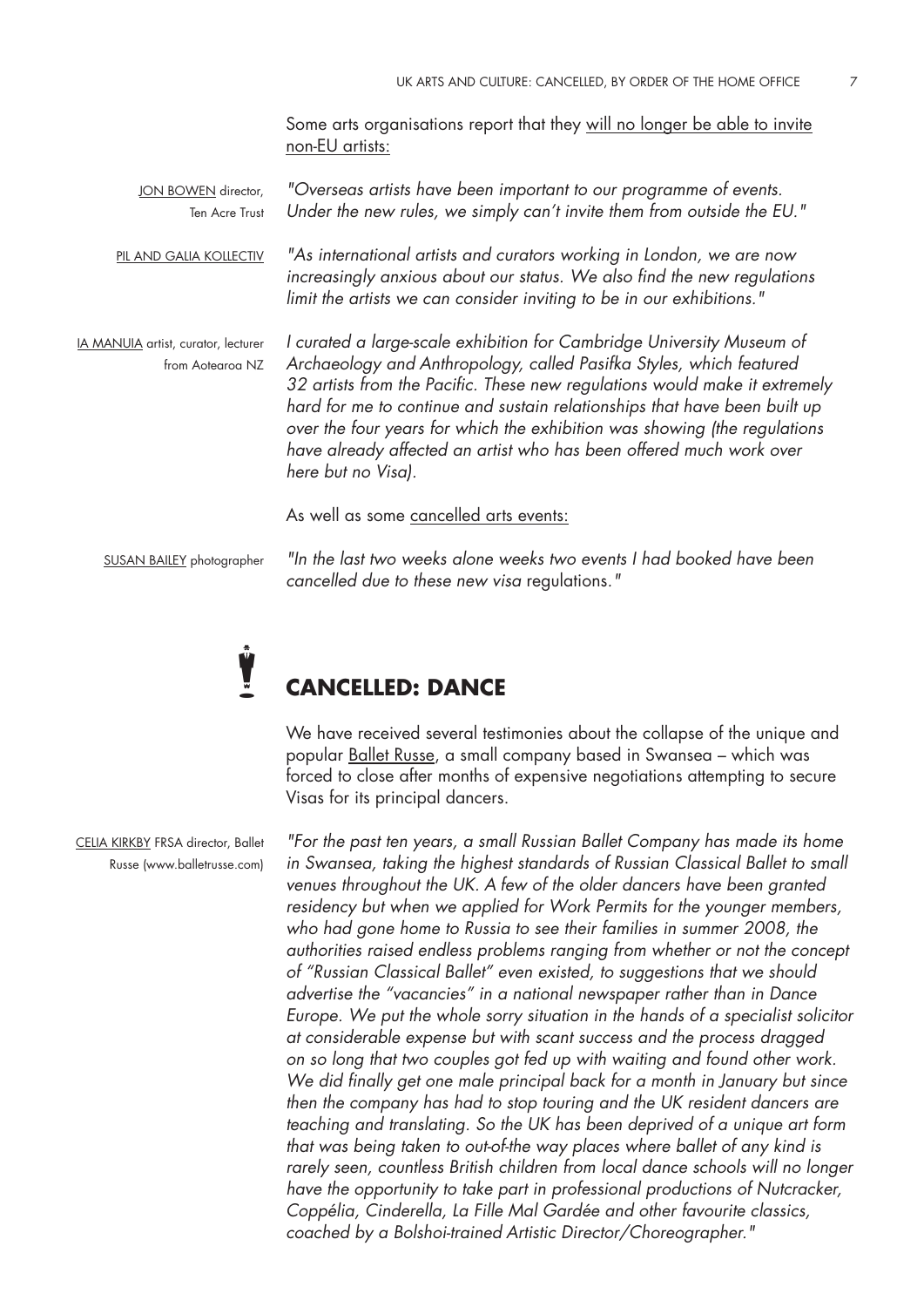Some arts organisations report that they will no longer be able to invite non-EU artists:

*"Overseas artists have been important to our programme of events. Under the new rules, we simply can't invite them from outside the EU."*  JON BOWEN director, Ten Acre Trust

*"As international artists and curators working in London, we are now increasingly anxious about our status. We also find the new regulations limit the artists we can consider inviting to be in our exhibitions."*  Pil and Galia Kollectiv

*I curated a large-scale exhibition for Cambridge University Museum of Archaeology and Anthropology, called Pasifka Styles, which featured 32 artists from the Pacific. These new regulations would make it extremely hard for me to continue and sustain relationships that have been built up over the four years for which the exhibition was showing (the regulations have already affected an artist who has been offered much work over here but no Visa).*  IA MANUIA artist, curator, lecturer from Aotearoa NZ

As well as some cancelled arts events:

SUSAN BAILEY photographer

*"In the last two weeks alone weeks two events I had booked have been cancelled due to these new visa* regulations*."* 

# **Cancelled: Dance** Ŷ

We have received several testimonies about the collapse of the unique and popular Ballet Russe, a small company based in Swansea – which was forced to close after months of expensive negotiations attempting to secure Visas for its principal dancers.

*"For the past ten years, a small Russian Ballet Company has made its home*  in Swansea, taking the highest standards of Russian Classical Ballet to small *venues throughout the UK. A few of the older dancers have been granted residency but when we applied for Work Permits for the younger members, who had gone home to Russia to see their families in summer 2008, the authorities raised endless problems ranging from whether or not the concept of "Russian Classical Ballet" even existed, to suggestions that we should advertise the "vacancies" in a national newspaper rather than in Dance Europe. We put the whole sorry situation in the hands of a specialist solicitor at considerable expense but with scant success and the process dragged on so long that two couples got fed up with waiting and found other work. We did finally get one male principal back for a month in January but since then the company has had to stop touring and the UK resident dancers are teaching and translating. So the UK has been deprived of a unique art form that was being taken to out-of-the way places where ballet of any kind is rarely seen, countless British children from local dance schools will no longer have the opportunity to take part in professional productions of Nutcracker, Coppélia, Cinderella, La Fille Mal Gardée and other favourite classics, coached by a Bolshoi-trained Artistic Director/Choreographer."* 

CELIA KIRKBY FRSA director, Ballet Russe (www.balletrusse.com)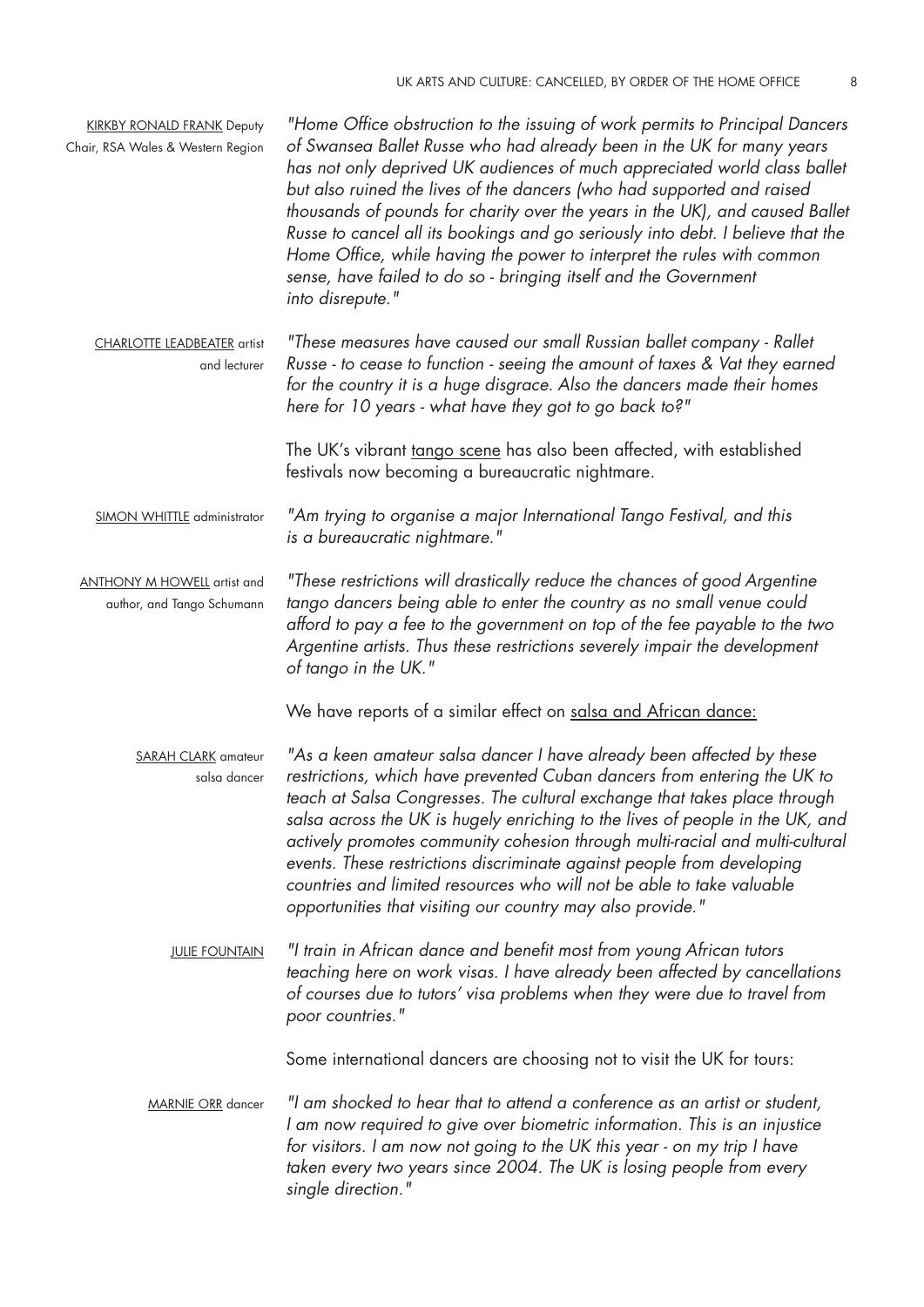| <b>KIRKBY RONALD FRANK Deputy</b><br>Chair, RSA Wales & Western Region | "Home Office obstruction to the issuing of work permits to Principal Dancers<br>of Swansea Ballet Russe who had already been in the UK for many years<br>has not only deprived UK audiences of much appreciated world class ballet<br>but also ruined the lives of the dancers (who had supported and raised<br>thousands of pounds for charity over the years in the UK), and caused Ballet<br>Russe to cancel all its bookings and go seriously into debt. I believe that the<br>Home Office, while having the power to interpret the rules with common<br>sense, have failed to do so - bringing itself and the Government<br>into disrepute." |
|------------------------------------------------------------------------|---------------------------------------------------------------------------------------------------------------------------------------------------------------------------------------------------------------------------------------------------------------------------------------------------------------------------------------------------------------------------------------------------------------------------------------------------------------------------------------------------------------------------------------------------------------------------------------------------------------------------------------------------|
| <b>CHARLOTTE LEADBEATER</b> artist<br>and lecturer                     | "These measures have caused our small Russian ballet company - Rallet<br>Russe - to cease to function - seeing the amount of taxes & Vat they earned<br>for the country it is a huge disgrace. Also the dancers made their homes<br>here for 10 years - what have they got to go back to?"                                                                                                                                                                                                                                                                                                                                                        |
|                                                                        | The UK's vibrant tango scene has also been affected, with established<br>festivals now becoming a bureaucratic nightmare.                                                                                                                                                                                                                                                                                                                                                                                                                                                                                                                         |
| SIMON WHITTLE administrator                                            | "Am trying to organise a major International Tango Festival, and this<br>is a bureaucratic nightmare."                                                                                                                                                                                                                                                                                                                                                                                                                                                                                                                                            |
| <b>ANTHONY M HOWELL</b> artist and<br>author, and Tango Schumann       | "These restrictions will drastically reduce the chances of good Argentine<br>tango dancers being able to enter the country as no small venue could<br>afford to pay a fee to the government on top of the fee payable to the two<br>Argentine artists. Thus these restrictions severely impair the development<br>of tango in the UK."                                                                                                                                                                                                                                                                                                            |
|                                                                        | We have reports of a similar effect on salsa and African dance:                                                                                                                                                                                                                                                                                                                                                                                                                                                                                                                                                                                   |
| <b>SARAH CLARK</b> amateur<br>salsa dancer                             | "As a keen amateur salsa dancer I have already been affected by these<br>restrictions, which have prevented Cuban dancers from entering the UK to<br>teach at Salsa Congresses. The cultural exchange that takes place through<br>salsa across the UK is hugely enriching to the lives of people in the UK, and<br>actively promotes community cohesion through multi-racial and multi-cultural<br>events. These restrictions discriminate against people from developing<br>countries and limited resources who will not be able to take valuable<br>opportunities that visiting our country may also provide."                                  |
| <b>JULIE FOUNTAIN</b>                                                  | "I train in African dance and benefit most from young African tutors<br>teaching here on work visas. I have already been affected by cancellations<br>of courses due to tutors' visa problems when they were due to travel from<br>poor countries."                                                                                                                                                                                                                                                                                                                                                                                               |
|                                                                        | Some international dancers are choosing not to visit the UK for tours:                                                                                                                                                                                                                                                                                                                                                                                                                                                                                                                                                                            |
| <b>MARNIE ORR</b> dancer                                               | "I am shocked to hear that to attend a conference as an artist or student,<br>I am now required to give over biometric information. This is an injustice<br>for visitors. I am now not going to the UK this year - on my trip I have<br>taken every two years since 2004. The UK is losing people from every<br>single direction."                                                                                                                                                                                                                                                                                                                |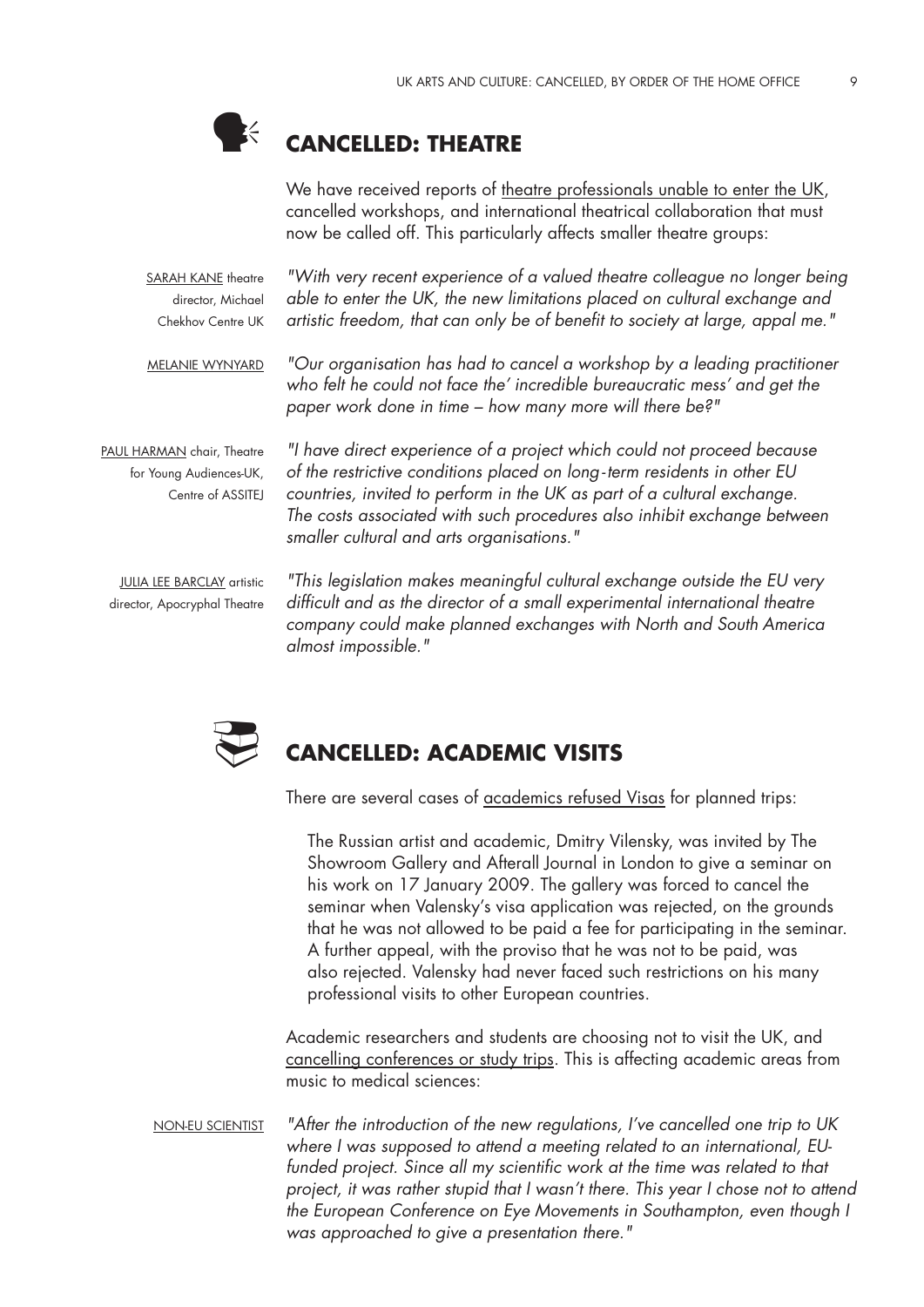

# **Cancelled: Theatre**

We have received reports of theatre professionals unable to enter the UK, cancelled workshops, and international theatrical collaboration that must now be called off. This particularly affects smaller theatre groups:

SARAH KANE theatre director, Michael Chekhov Centre UK

*"With very recent experience of a valued theatre colleague no longer being able to enter the UK, the new limitations placed on cultural exchange and artistic freedom, that can only be of benefit to society at large, appal me."* 

*"Our organisation has had to cancel a workshop by a leading practitioner who felt he could not face the' incredible bureaucratic mess' and get the paper work done in time – how many more will there be?"* Melanie Wynyard

PAUL HARMAN chair, Theatre for Young Audiences-UK, Centre of ASSITEJ

*"I have direct experience of a project which could not proceed because of the restrictive conditions placed on long- term residents in other EU countries, invited to perform in the UK as part of a cultural exchange. The costs associated with such procedures also inhibit exchange between smaller cultural and arts organisations."* 

JULIA LEE BARCLAY artistic director, Apocryphal Theatre

*"This legislation makes meaningful cultural exchange outside the EU very difficult and as the director of a small experimental international theatre company could make planned exchanges with North and South America almost impossible."* 



# **Cancelled: Academic Visits**

There are several cases of academics refused Visas for planned trips:

The Russian artist and academic, Dmitry Vilensky, was invited by The Showroom Gallery and Afterall Journal in London to give a seminar on his work on 17 January 2009. The gallery was forced to cancel the seminar when Valensky's visa application was rejected, on the grounds that he was not allowed to be paid a fee for participating in the seminar. A further appeal, with the proviso that he was not to be paid, was also rejected. Valensky had never faced such restrictions on his many professional visits to other European countries.

Academic researchers and students are choosing not to visit the UK, and cancelling conferences or study trips. This is affecting academic areas from music to medical sciences:

*"After the introduction of the new regulations, I've cancelled one trip to UK where I was supposed to attend a meeting related to an international, EU*funded project. Since all my scientific work at the time was related to that *project, it was rather stupid that I wasn't there. This year I chose not to attend the European Conference on Eye Movements in Southampton, even though I was approached to give a presentation there."*  Non-EU scientist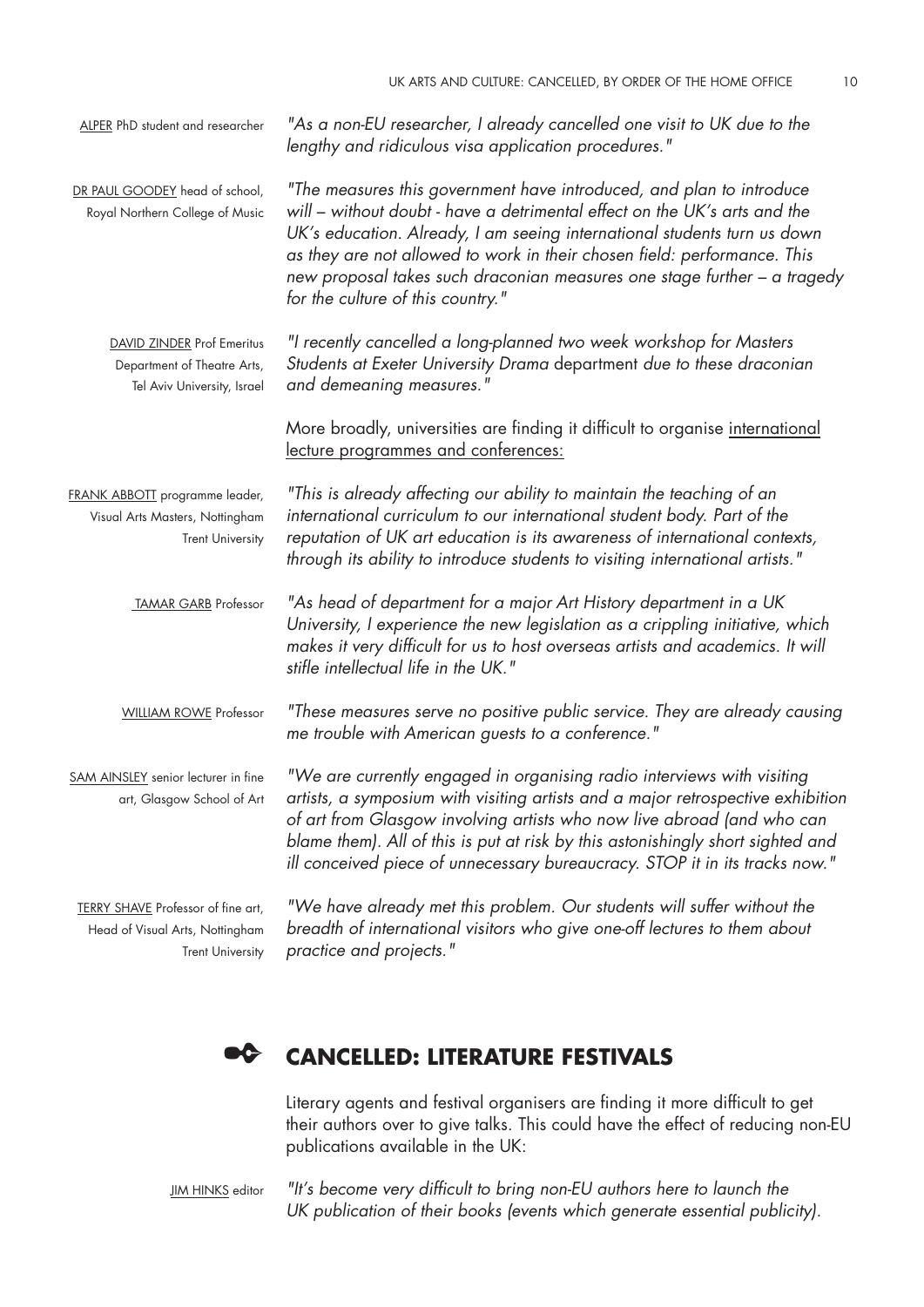| ALPER PhD student and researcher                                                                        | "As a non-EU researcher, I already cancelled one visit to UK due to the<br>lengthy and ridiculous visa application procedures."                                                                                                                                                                                                                                                                                            |
|---------------------------------------------------------------------------------------------------------|----------------------------------------------------------------------------------------------------------------------------------------------------------------------------------------------------------------------------------------------------------------------------------------------------------------------------------------------------------------------------------------------------------------------------|
| DR PAUL GOODEY head of school,<br>Royal Northern College of Music                                       | "The measures this government have introduced, and plan to introduce<br>will – without doubt - have a detrimental effect on the UK's arts and the<br>UK's education. Already, I am seeing international students turn us down<br>as they are not allowed to work in their chosen field: performance. This<br>new proposal takes such draconian measures one stage further - a tragedy<br>for the culture of this country." |
| <b>DAVID ZINDER Prof Emeritus</b><br>Department of Theatre Arts,<br>Tel Aviv University, Israel         | "I recently cancelled a long-planned two week workshop for Masters<br>Students at Exeter University Drama department due to these draconian<br>and demeaning measures."                                                                                                                                                                                                                                                    |
|                                                                                                         | More broadly, universities are finding it difficult to organise international<br>lecture programmes and conferences:                                                                                                                                                                                                                                                                                                       |
| FRANK ABBOTT programme leader,<br>Visual Arts Masters, Nottingham<br><b>Trent University</b>            | "This is already affecting our ability to maintain the teaching of an<br>international curriculum to our international student body. Part of the<br>reputation of UK art education is its awareness of international contexts,<br>through its ability to introduce students to visiting international artists."                                                                                                            |
| <b>TAMAR GARB</b> Professor                                                                             | "As head of department for a major Art History department in a UK<br>University, I experience the new legislation as a crippling initiative, which<br>makes it very difficult for us to host overseas artists and academics. It will<br>stifle intellectual life in the UK."                                                                                                                                               |
| <b>WILLIAM ROWE Professor</b>                                                                           | "These measures serve no positive public service. They are already causing<br>me trouble with American guests to a conference."                                                                                                                                                                                                                                                                                            |
| SAM AINSLEY senior lecturer in fine<br>art, Glasgow School of Art                                       | "We are currently engaged in organising radio interviews with visiting<br>artists, a symposium with visiting artists and a major retrospective exhibition<br>of art from Glasgow involving artists who now live abroad (and who can<br>blame them). All of this is put at risk by this astonishingly short sighted and<br>ill conceived piece of unnecessary bureaucracy. STOP it in its tracks now."                      |
| <b>TERRY SHAVE</b> Professor of fine art,<br>Head of Visual Arts, Nottingham<br><b>Trent University</b> | "We have already met this problem. Our students will suffer without the<br>breadth of international visitors who give one-off lectures to them about<br>practice and projects."                                                                                                                                                                                                                                            |

#### ✒ **Cancelled: Literature Festivals**

Literary agents and festival organisers are finding it more difficult to get their authors over to give talks. This could have the effect of reducing non-EU publications available in the UK:

**JIM HINKS** editor

*"It's become very difficult to bring non-EU authors here to launch the UK publication of their books (events which generate essential publicity).*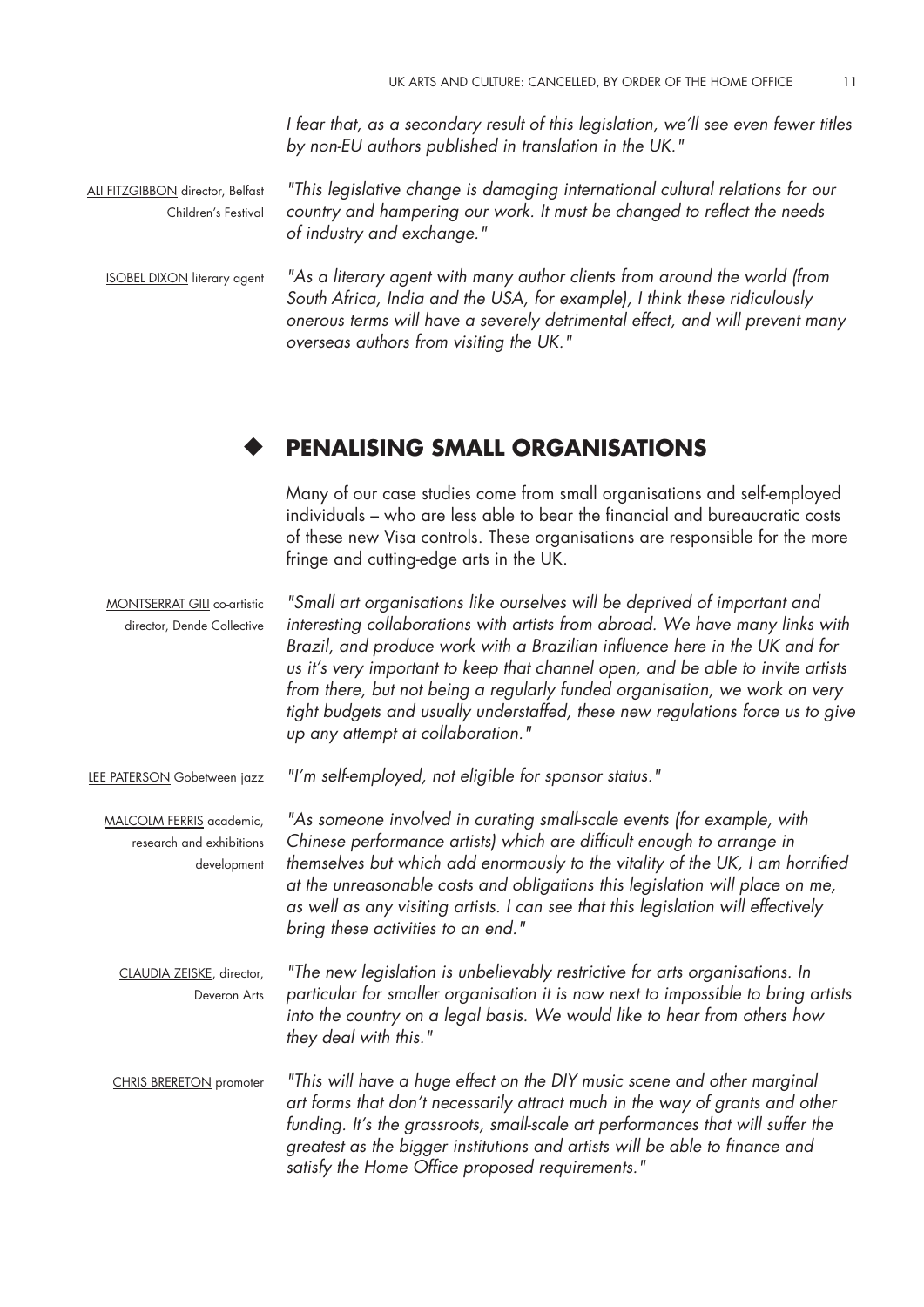*I fear that, as a secondary result of this legislation, we'll see even fewer titles by non-EU authors published in translation in the UK."* 

ALI FITZGIBBON director, Belfast Children's Festival *"This legislative change is damaging international cultural relations for our country and hampering our work. It must be changed to reflect the needs of industry and exchange."* 

**ISOBEL DIXON literary agent** *"As a literary agent with many author clients from around the world (from South Africa, India and the USA, for example), I think these ridiculously onerous terms will have a severely detrimental effect, and will prevent many overseas authors from visiting the UK."* 

#### ◆ **Penalising Small Organisations**

Many of our case studies come from small organisations and self-employed individuals – who are less able to bear the financial and bureaucratic costs of these new Visa controls. These organisations are responsible for the more fringe and cutting-edge arts in the UK.

MONTSERRAT GILI co-artistic director, Dende Collective *"Small art organisations like ourselves will be deprived of important and interesting collaborations with artists from abroad. We have many links with Brazil, and produce work with a Brazilian influence here in the UK and for us it's very important to keep that channel open, and be able to invite artists from there, but not being a regularly funded organisation, we work on very tight budgets and usually understaffed, these new regulations force us to give up any attempt at collaboration."* 

LEE PATERSON Gobetween jazz *"I'm self-employed, not eligible for sponsor status."* 

MALCOLM FERRIS academic, research and exhibitions development *"As someone involved in curating small-scale events (for example, with Chinese performance artists) which are difficult enough to arrange in themselves but which add enormously to the vitality of the UK, I am horrified at the unreasonable costs and obligations this legislation will place on me, as well as any visiting artists. I can see that this legislation will effectively bring these activities to an end."* 

CLAUDIA ZEISKE, director, Deveron Arts *"The new legislation is unbelievably restrictive for arts organisations. In particular for smaller organisation it is now next to impossible to bring artists into the country on a legal basis. We would like to hear from others how they deal with this."* 

CHRIS BRERETON promoter *"This will have a huge effect on the DIY music scene and other marginal art forms that don't necessarily attract much in the way of grants and other funding. It's the grassroots, small-scale art performances that will suffer the greatest as the bigger institutions and artists will be able to finance and satisfy the Home Office proposed requirements."*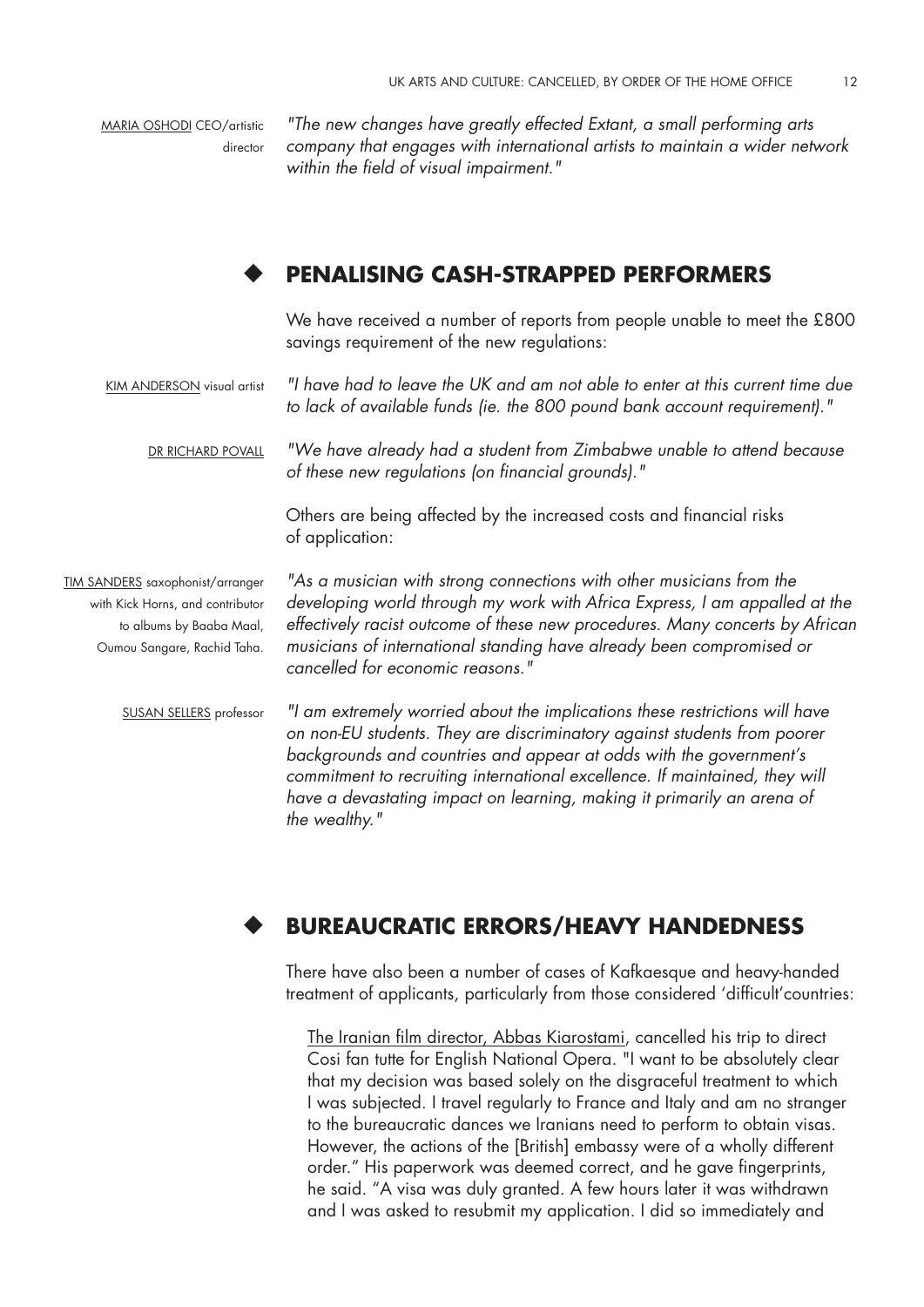MARIA OSHODI CEO/artistic director

*"The new changes have greatly effected Extant, a small performing arts company that engages with international artists to maintain a wider network within the field of visual impairment."* 

#### ◆ **Penalising Cash-Strapped Performers**

We have received a number of reports from people unable to meet the £800 savings requirement of the new regulations:

KIM ANDERSON visual artist *"I have had to leave the UK and am not able to enter at this current time due to lack of available funds (ie. the 800 pound bank account requirement)."* 

DR RICHARD POVALL *"We have already had a student from Zimbabwe unable to attend because of these new regulations (on financial grounds)."* 

> Others are being affected by the increased costs and financial risks of application:

TIM SANDERS saxophonist/arranger with Kick Horns, and contributor to albums by Baaba Maal, Oumou Sangare, Rachid Taha.

*"As a musician with strong connections with other musicians from the developing world through my work with Africa Express, I am appalled at the effectively racist outcome of these new procedures. Many concerts by African musicians of international standing have already been compromised or cancelled for economic reasons."* 

Susan Sellers professor

*"I am extremely worried about the implications these restrictions will have on non-EU students. They are discriminatory against students from poorer backgrounds and countries and appear at odds with the government's*  commitment to recruiting international excellence. If maintained, they will *have a devastating impact on learning, making it primarily an arena of the wealthy."* 

#### ◆ **Bureaucratic Errors/Heavy Handedness**

There have also been a number of cases of Kafkaesque and heavy-handed treatment of applicants, particularly from those considered 'difficult'countries:

The Iranian film director, Abbas Kiarostami, cancelled his trip to direct Cosi fan tutte for English National Opera. "I want to be absolutely clear that my decision was based solely on the disgraceful treatment to which I was subjected. I travel regularly to France and Italy and am no stranger to the bureaucratic dances we Iranians need to perform to obtain visas. However, the actions of the [British] embassy were of a wholly different order." His paperwork was deemed correct, and he gave fingerprints, he said. "A visa was duly granted. A few hours later it was withdrawn and I was asked to resubmit my application. I did so immediately and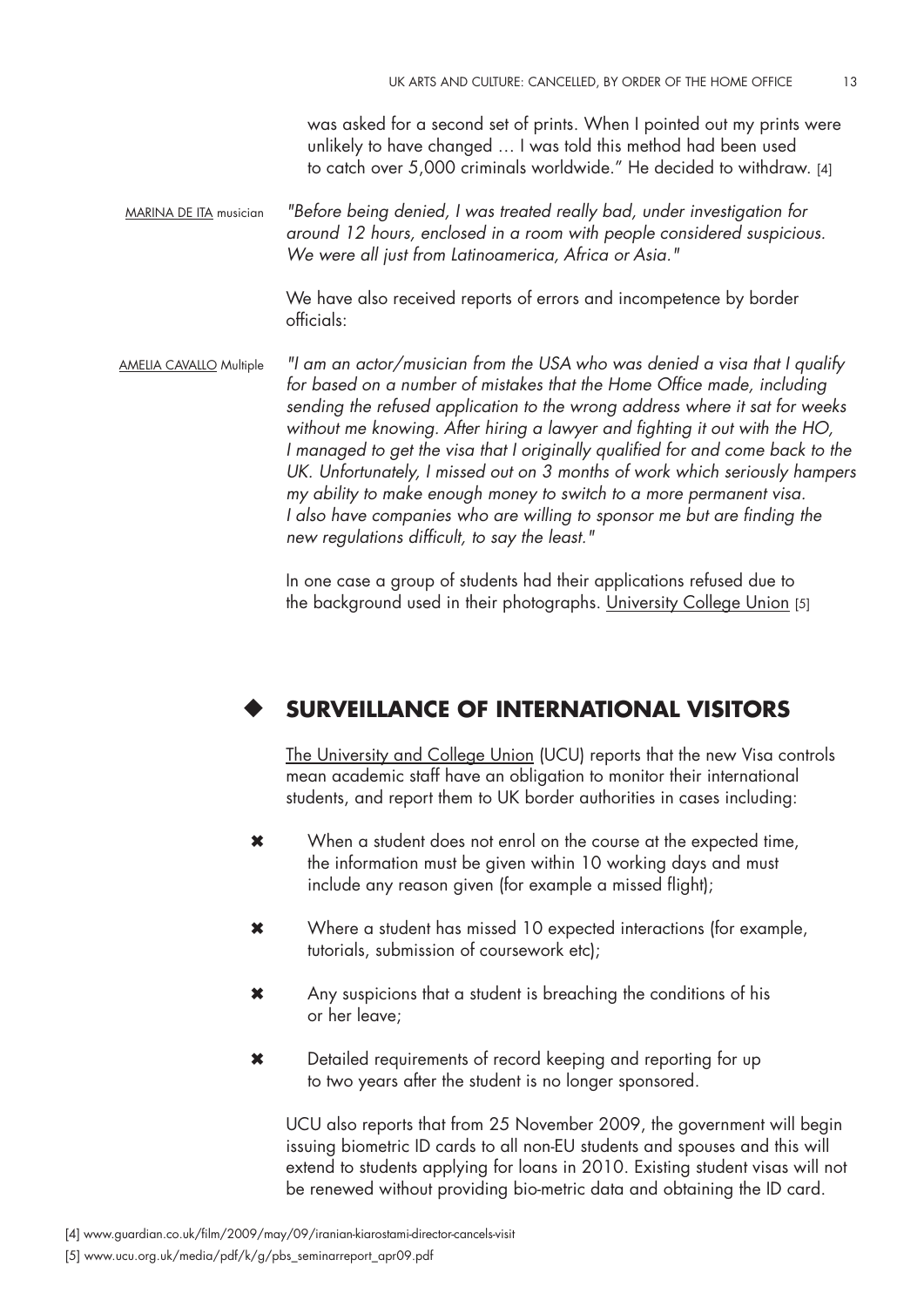was asked for a second set of prints. When I pointed out my prints were unlikely to have changed … I was told this method had been used to catch over 5,000 criminals worldwide." He decided to withdraw. [4]

MARINA DE ITA musician *"Before being denied, I was treated really bad, under investigation for around 12 hours, enclosed in a room with people considered suspicious. We were all just from Latinoamerica, Africa or Asia."* 

> We have also received reports of errors and incompetence by border officials:

Amelia Cavallo Multiple *"I am an actor/musician from the USA who was denied a visa that I qualify for based on a number of mistakes that the Home Office made, including sending the refused application to the wrong address where it sat for weeks without me knowing. After hiring a lawyer and fighting it out with the HO,*  I managed to get the visa that I originally qualified for and come back to the *UK. Unfortunately, I missed out on 3 months of work which seriously hampers my ability to make enough money to switch to a more permanent visa.*  I also have companies who are willing to sponsor me but are finding the *new regulations difficult, to say the least."* 

> In one case a group of students had their applications refused due to the background used in their photographs. University College Union [5]

#### ◆ **Surveillance of International Visitors**

The University and College Union (UCU) reports that the new Visa controls mean academic staff have an obligation to monitor their international students, and report them to UK border authorities in cases including:

- ✖ When a student does not enrol on the course at the expected time, the information must be given within 10 working days and must include any reason given (for example a missed flight);
- ✖ Where a student has missed 10 expected interactions (for example, tutorials, submission of coursework etc);
- ✖ Any suspicions that a student is breaching the conditions of his or her leave;
- ✖ Detailed requirements of record keeping and reporting for up to two years after the student is no longer sponsored.

UCU also reports that from 25 November 2009, the government will begin issuing biometric ID cards to all non-EU students and spouses and this will extend to students applying for loans in 2010. Existing student visas will not be renewed without providing bio-metric data and obtaining the ID card.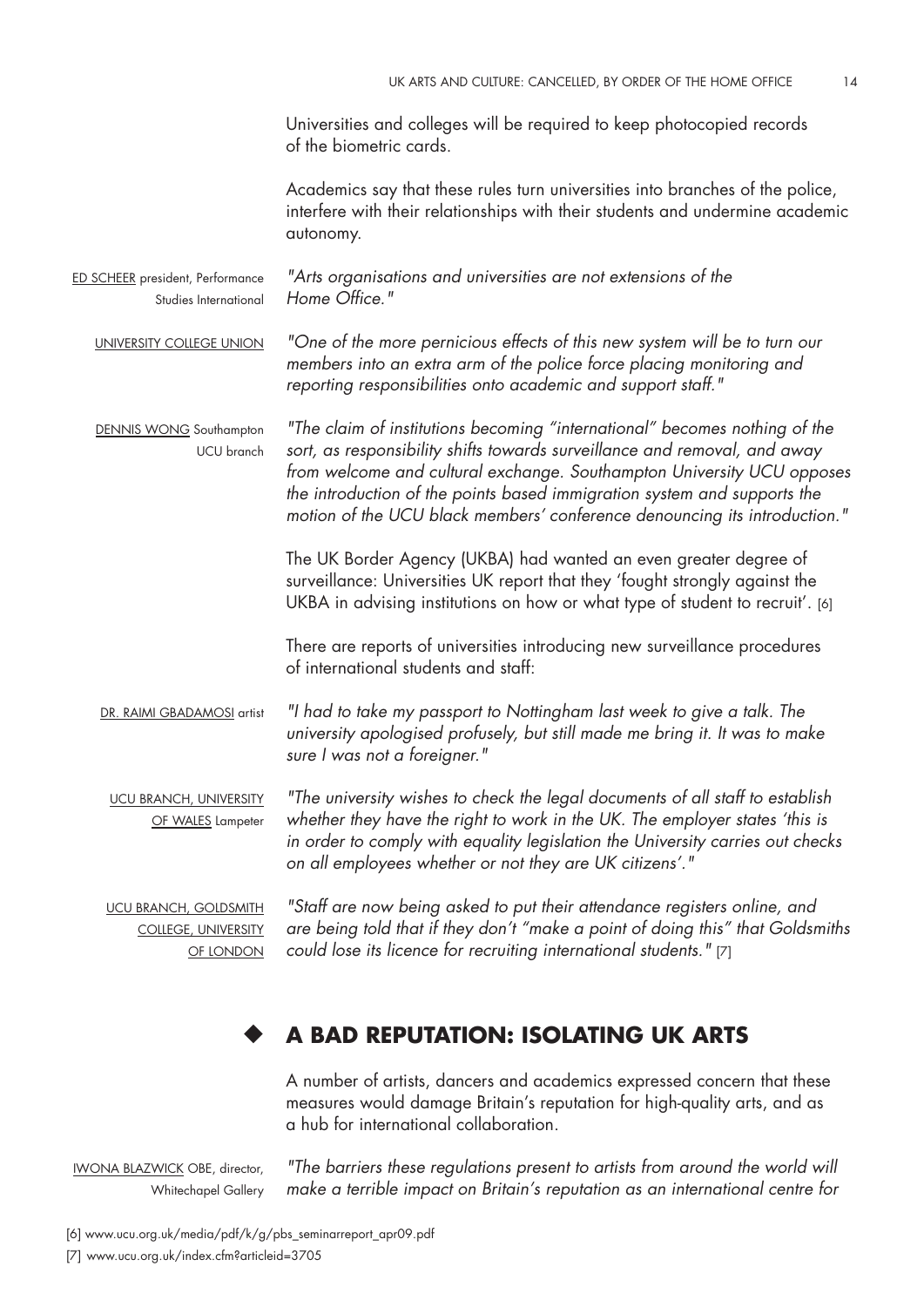Universities and colleges will be required to keep photocopied records of the biometric cards.

Academics say that these rules turn universities into branches of the police, interfere with their relationships with their students and undermine academic autonomy.

ED SCHEER president, Performance Studies International *"Arts organisations and universities are not extensions of the Home Office."* 

University College Union *"One of the more pernicious effects of this new system will be to turn our members into an extra arm of the police force placing monitoring and reporting responsibilities onto academic and support staff."* 

DENNIS WONG Southampton UCU branch *"The claim of institutions becoming "international" becomes nothing of the sort, as responsibility shifts towards surveillance and removal, and away from welcome and cultural exchange. Southampton University UCU opposes the introduction of the points based immigration system and supports the motion of the UCU black members' conference denouncing its introduction."* 

> The UK Border Agency (UKBA) had wanted an even greater degree of surveillance: Universities UK report that they 'fought strongly against the UKBA in advising institutions on how or what type of student to recruit'. [6]

There are reports of universities introducing new surveillance procedures of international students and staff:

DR. RAIMI GBADAMOSI artist *"I had to take my passport to Nottingham last week to give a talk. The university apologised profusely, but still made me bring it. It was to make sure I was not a foreigner."* 

UCU branch, University OF WALES Lampeter *"The university wishes to check the legal documents of all staff to establish*  whether they have the right to work in the UK. The employer states 'this is *in order to comply with equality legislation the University carries out checks on all employees whether or not they are UK citizens'."* 

UCU branch, Goldsmith College, University OF LONDON

*"Staff are now being asked to put their attendance registers online, and are being told that if they don't "make a point of doing this" that Goldsmiths could lose its licence for recruiting international students."* [7]

#### ◆ **A Bad Reputation: Isolating UK Arts**

A number of artists, dancers and academics expressed concern that these measures would damage Britain's reputation for high-quality arts, and as a hub for international collaboration.

Iwona Blazwick OBE, director, Whitechapel Gallery

*"The barriers these regulations present to artists from around the world will make a terrible impact on Britain's reputation as an international centre for* 

[6] www.ucu.org.uk/media/pdf/k/g/pbs\_seminarreport\_apr09.pdf [7] www.ucu.org.uk/index.cfm?articleid=3705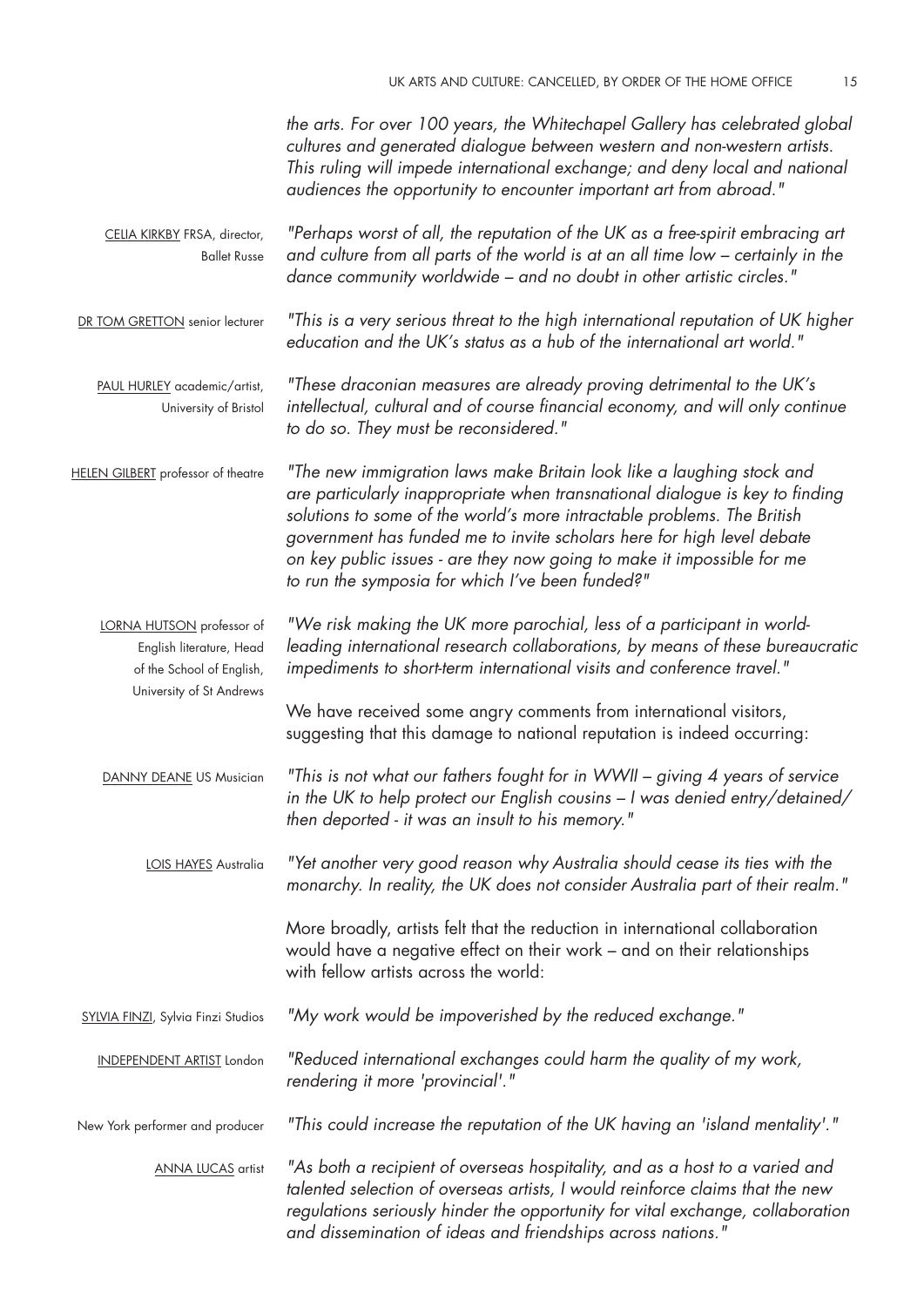Celia Kirkby FRSA, director, Ballet Russe DR TOM GRETTON senior lecturer PAUL HURLEY academic/artist, University of Bristol HELEN GILBERT professor of theatre LORNA HUTSON professor of English literature, Head of the School of English, University of St Andrews DANNY DEANE US Musician LOIS HAYES Australia SYLVIA FINZI, Sylvia Finzi Studios independent artist London New York performer and producer Anna Lucas artist *the arts. For over 100 years, the Whitechapel Gallery has celebrated global cultures and generated dialogue between western and non-western artists. This ruling will impede international exchange; and deny local and national audiences the opportunity to encounter important art from abroad." "Perhaps worst of all, the reputation of the UK as a free-spirit embracing art and culture from all parts of the world is at an all time low – certainly in the dance community worldwide – and no doubt in other artistic circles." "This is a very serious threat to the high international reputation of UK higher education and the UK's status as a hub of the international art world." "These draconian measures are already proving detrimental to the UK's intellectual, cultural and of course financial economy, and will only continue to do so. They must be reconsidered." "The new immigration laws make Britain look like a laughing stock and are particularly inappropriate when transnational dialogue is key to finding solutions to some of the world's more intractable problems. The British government has funded me to invite scholars here for high level debate on key public issues - are they now going to make it impossible for me to run the symposia for which I've been funded?" "We risk making the UK more parochial, less of a participant in worldleading international research collaborations, by means of these bureaucratic impediments to short-term international visits and conference travel."*  We have received some angry comments from international visitors, suggesting that this damage to national reputation is indeed occurring: *"This is not what our fathers fought for in WWII – giving 4 years of service in the UK to help protect our English cousins – I was denied entry/detained/ then deported - it was an insult to his memory." "Yet another very good reason why Australia should cease its ties with the monarchy. In reality, the UK does not consider Australia part of their realm."*  More broadly, artists felt that the reduction in international collaboration would have a negative effect on their work – and on their relationships with fellow artists across the world: *"My work would be impoverished by the reduced exchange." "Reduced international exchanges could harm the quality of my work, rendering it more 'provincial'." "This could increase the reputation of the UK having an 'island mentality'." "As both a recipient of overseas hospitality, and as a host to a varied and talented selection of overseas artists, I would reinforce claims that the new regulations seriously hinder the opportunity for vital exchange, collaboration and dissemination of ideas and friendships across nations."*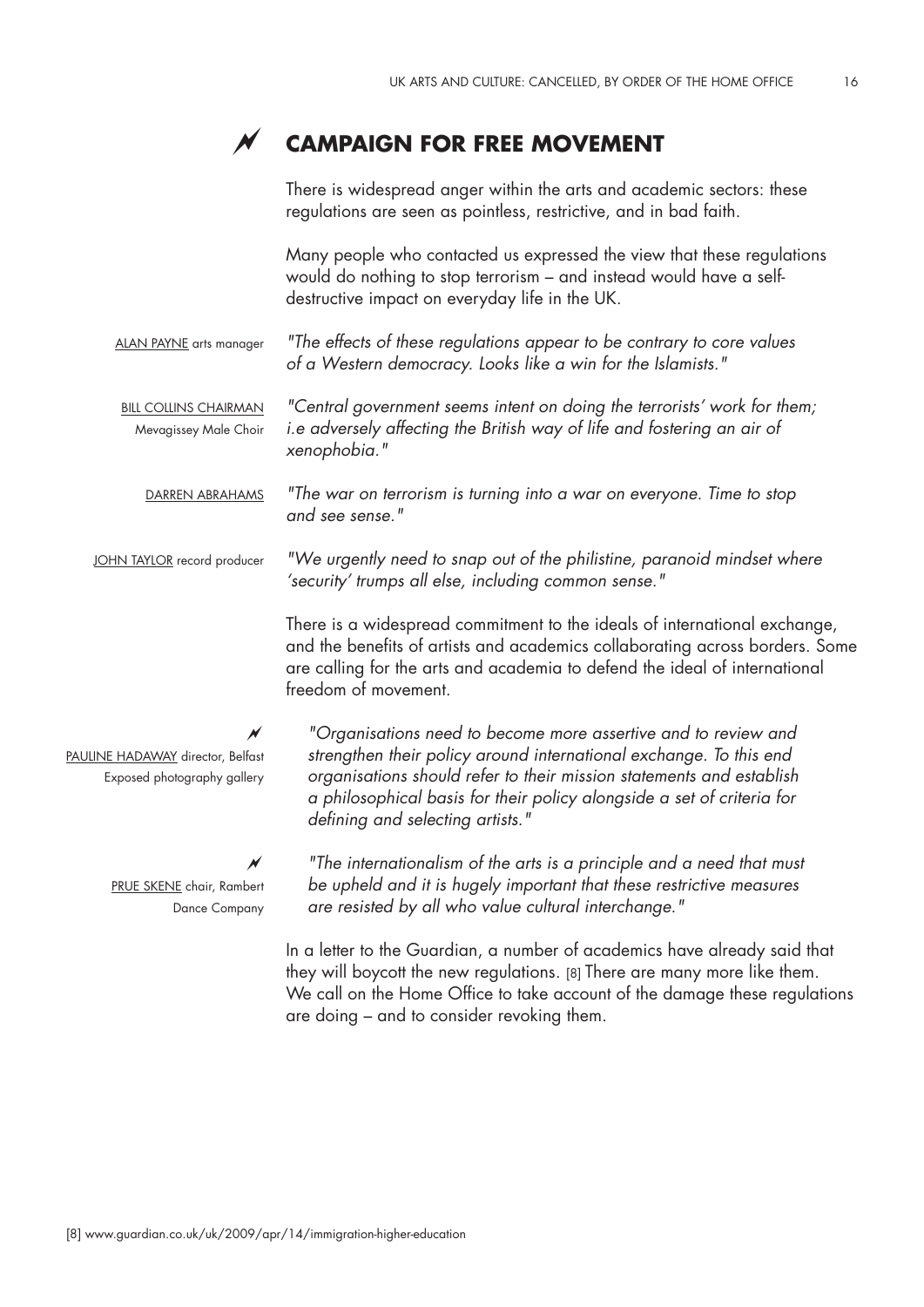

# **Campaign For Free Movement**

There is widespread anger within the arts and academic sectors: these regulations are seen as pointless, restrictive, and in bad faith.

Many people who contacted us expressed the view that these regulations would do nothing to stop terrorism – and instead would have a selfdestructive impact on everyday life in the UK.

ALAN PAYNE arts manager *"The effects of these regulations appear to be contrary to core values of a Western democracy. Looks like a win for the Islamists."* 

Bill Collins Chairman Mevagissey Male Choir *"Central government seems intent on doing the terrorists' work for them; i.e adversely affecting the British way of life and fostering an air of xenophobia."* 

Darren Abrahams *"The war on terrorism is turning into a war on everyone. Time to stop and see sense."* 

JOHN TAYLOR record producer *"We urgently need to snap out of the philistine, paranoid mindset where 'security' trumps all else, including common sense."* 

> There is a widespread commitment to the ideals of international exchange, and the benefits of artists and academics collaborating across borders. Some are calling for the arts and academia to defend the ideal of international freedom of movement.

 $\cancel{\sim}$ PAULINE HADAWAY director, Belfast Exposed photography gallery

> $\overline{\mathcal{M}}$ PRUE SKENE chair, Rambert Dance Company

*"Organisations need to become more assertive and to review and strengthen their policy around international exchange. To this end organisations should refer to their mission statements and establish a philosophical basis for their policy alongside a set of criteria for defining and selecting artists."*

*"The internationalism of the arts is a principle and a need that must be upheld and it is hugely important that these restrictive measures are resisted by all who value cultural interchange."* 

In a letter to the Guardian, a number of academics have already said that they will boycott the new regulations. [8] There are many more like them. We call on the Home Office to take account of the damage these regulations are doing – and to consider revoking them.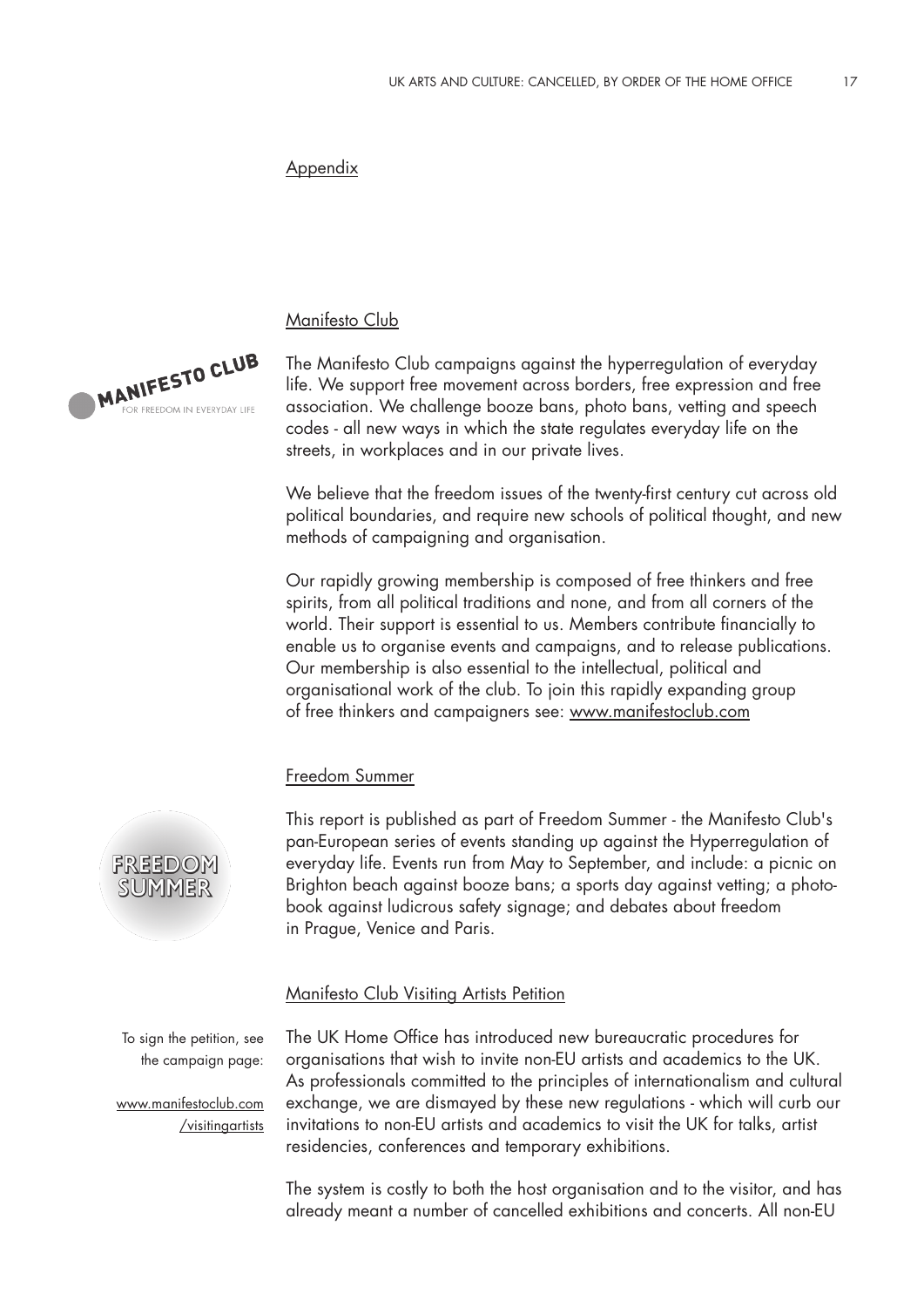## Appendix

Manifesto Club

The Manifesto Club campaigns against the hyperregulation of everyday life. We support free movement across borders, free expression and free association. We challenge booze bans, photo bans, vetting and speech codes - all new ways in which the state regulates everyday life on the streets, in workplaces and in our private lives.

We believe that the freedom issues of the twenty-first century cut across old political boundaries, and require new schools of political thought, and new methods of campaigning and organisation.

Our rapidly growing membership is composed of free thinkers and free spirits, from all political traditions and none, and from all corners of the world. Their support is essential to us. Members contribute financially to enable us to organise events and campaigns, and to release publications. Our membership is also essential to the intellectual, political and organisational work of the club. To join this rapidly expanding group of free thinkers and campaigners see: www.manifestoclub.com

## Freedom Summer

This report is published as part of Freedom Summer - the Manifesto Club's pan-European series of events standing up against the Hyperregulation of everyday life. Events run from May to September, and include: a picnic on Brighton beach against booze bans; a sports day against vetting; a photobook against ludicrous safety signage; and debates about freedom in Prague, Venice and Paris.

## Manifesto Club Visiting Artists Petition

To sign the petition, see the campaign page:

www.manifestoclub.com /visitingartists The UK Home Office has introduced new bureaucratic procedures for organisations that wish to invite non-EU artists and academics to the UK. As professionals committed to the principles of internationalism and cultural exchange, we are dismayed by these new regulations - which will curb our invitations to non-EU artists and academics to visit the UK for talks, artist residencies, conferences and temporary exhibitions.

The system is costly to both the host organisation and to the visitor, and has already meant a number of cancelled exhibitions and concerts. All non-EU



**MANIFESTO CLUB** 

R EREEDOM IN EVERYDAY LIFE